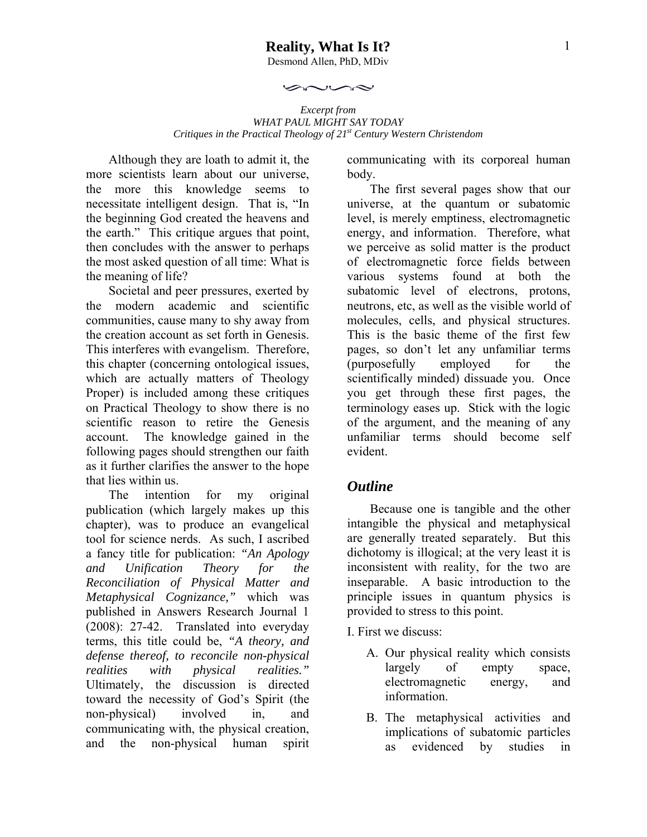$\sim$ 

*Excerpt from WHAT PAUL MIGHT SAY TODAY Critiques in the Practical Theology of 21st Century Western Christendom* 

بحصن

Although they are loath to admit it, the more scientists learn about our universe, the more this knowledge seems to necessitate intelligent design. That is, "In the beginning God created the heavens and the earth." This critique argues that point, then concludes with the answer to perhaps the most asked question of all time: What is the meaning of life?

Societal and peer pressures, exerted by the modern academic and scientific communities, cause many to shy away from the creation account as set forth in Genesis. This interferes with evangelism. Therefore, this chapter (concerning ontological issues, which are actually matters of Theology Proper) is included among these critiques on Practical Theology to show there is no scientific reason to retire the Genesis account. The knowledge gained in the following pages should strengthen our faith as it further clarifies the answer to the hope that lies within us.

The intention for my original publication (which largely makes up this chapter), was to produce an evangelical tool for science nerds. As such, I ascribed a fancy title for publication: *"An Apology and Unification Theory for the Reconciliation of Physical Matter and Metaphysical Cognizance,"* which was published in Answers Research Journal 1 (2008): 27-42. Translated into everyday terms, this title could be, *"A theory, and defense thereof, to reconcile non-physical realities with physical realities."* Ultimately, the discussion is directed toward the necessity of God's Spirit (the non-physical) involved in, and communicating with, the physical creation, and the non-physical human spirit

communicating with its corporeal human body.

The first several pages show that our universe, at the quantum or subatomic level, is merely emptiness, electromagnetic energy, and information. Therefore, what we perceive as solid matter is the product of electromagnetic force fields between various systems found at both the subatomic level of electrons, protons, neutrons, etc, as well as the visible world of molecules, cells, and physical structures. This is the basic theme of the first few pages, so don't let any unfamiliar terms (purposefully employed for the scientifically minded) dissuade you. Once you get through these first pages, the terminology eases up. Stick with the logic of the argument, and the meaning of any unfamiliar terms should become self evident.

## *Outline*

Because one is tangible and the other intangible the physical and metaphysical are generally treated separately. But this dichotomy is illogical; at the very least it is inconsistent with reality, for the two are inseparable. A basic introduction to the principle issues in quantum physics is provided to stress to this point.

I. First we discuss:

- A. Our physical reality which consists largely of empty space, electromagnetic energy, and information.
- B. The metaphysical activities and implications of subatomic particles as evidenced by studies in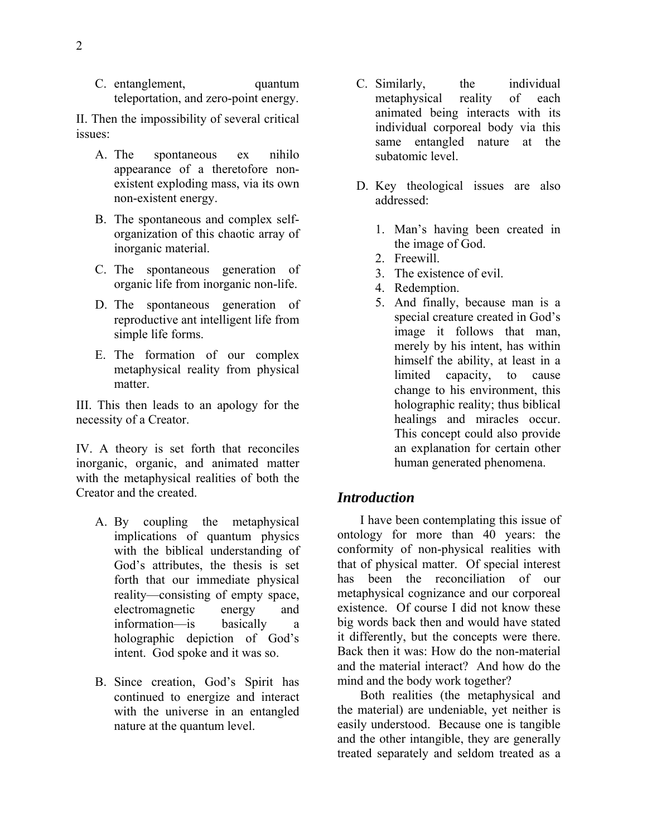C. entanglement, quantum teleportation, and zero-point energy.

II. Then the impossibility of several critical issues:

- A. The spontaneous ex nihilo appearance of a theretofore nonexistent exploding mass, via its own non-existent energy.
- B. The spontaneous and complex selforganization of this chaotic array of inorganic material.
- C. The spontaneous generation of organic life from inorganic non-life.
- D. The spontaneous generation of reproductive ant intelligent life from simple life forms.
- E. The formation of our complex metaphysical reality from physical matter.

III. This then leads to an apology for the necessity of a Creator.

IV. A theory is set forth that reconciles inorganic, organic, and animated matter with the metaphysical realities of both the Creator and the created.

- A. By coupling the metaphysical implications of quantum physics with the biblical understanding of God's attributes, the thesis is set forth that our immediate physical reality—consisting of empty space, electromagnetic energy and information—is basically a holographic depiction of God's intent. God spoke and it was so.
- B. Since creation, God's Spirit has continued to energize and interact with the universe in an entangled nature at the quantum level.
- C. Similarly, the individual metaphysical reality of each animated being interacts with its individual corporeal body via this same entangled nature at the subatomic level.
- D. Key theological issues are also addressed:
	- 1. Man's having been created in the image of God.
	- 2. Freewill.
	- 3. The existence of evil.
	- 4. Redemption.
	- 5. And finally, because man is a special creature created in God's image it follows that man, merely by his intent, has within himself the ability, at least in a limited capacity, to cause change to his environment, this holographic reality; thus biblical healings and miracles occur. This concept could also provide an explanation for certain other human generated phenomena.

#### *Introduction*

I have been contemplating this issue of ontology for more than 40 years: the conformity of non-physical realities with that of physical matter. Of special interest has been the reconciliation of our metaphysical cognizance and our corporeal existence. Of course I did not know these big words back then and would have stated it differently, but the concepts were there. Back then it was: How do the non-material and the material interact? And how do the mind and the body work together?

Both realities (the metaphysical and the material) are undeniable, yet neither is easily understood. Because one is tangible and the other intangible, they are generally treated separately and seldom treated as a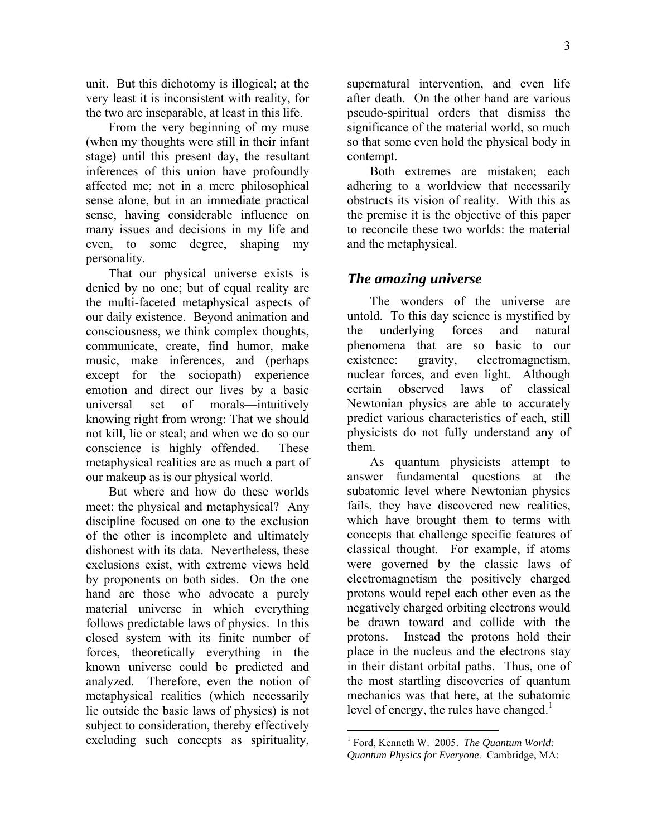unit. But this dichotomy is illogical; at the very least it is inconsistent with reality, for the two are inseparable, at least in this life.

From the very beginning of my muse (when my thoughts were still in their infant stage) until this present day, the resultant inferences of this union have profoundly affected me; not in a mere philosophical sense alone, but in an immediate practical sense, having considerable influence on many issues and decisions in my life and even, to some degree, shaping my personality.

That our physical universe exists is denied by no one; but of equal reality are the multi-faceted metaphysical aspects of our daily existence. Beyond animation and consciousness, we think complex thoughts, communicate, create, find humor, make music, make inferences, and (perhaps except for the sociopath) experience emotion and direct our lives by a basic universal set of morals—intuitively knowing right from wrong: That we should not kill, lie or steal; and when we do so our conscience is highly offended. These metaphysical realities are as much a part of our makeup as is our physical world.

But where and how do these worlds meet: the physical and metaphysical? Any discipline focused on one to the exclusion of the other is incomplete and ultimately dishonest with its data. Nevertheless, these exclusions exist, with extreme views held by proponents on both sides. On the one hand are those who advocate a purely material universe in which everything follows predictable laws of physics. In this closed system with its finite number of forces, theoretically everything in the known universe could be predicted and analyzed. Therefore, even the notion of metaphysical realities (which necessarily lie outside the basic laws of physics) is not subject to consideration, thereby effectively excluding such concepts as spirituality,

supernatural intervention, and even life after death. On the other hand are various pseudo-spiritual orders that dismiss the significance of the material world, so much so that some even hold the physical body in contempt.

Both extremes are mistaken; each adhering to a worldview that necessarily obstructs its vision of reality. With this as the premise it is the objective of this paper to reconcile these two worlds: the material and the metaphysical.

### *The amazing universe*

The wonders of the universe are untold. To this day science is mystified by the underlying forces and natural phenomena that are so basic to our existence: gravity, electromagnetism, nuclear forces, and even light. Although certain observed laws of classical Newtonian physics are able to accurately predict various characteristics of each, still physicists do not fully understand any of them.

As quantum physicists attempt to answer fundamental questions at the subatomic level where Newtonian physics fails, they have discovered new realities, which have brought them to terms with concepts that challenge specific features of classical thought. For example, if atoms were governed by the classic laws of electromagnetism the positively charged protons would repel each other even as the negatively charged orbiting electrons would be drawn toward and collide with the protons. Instead the protons hold their place in the nucleus and the electrons stay in their distant orbital paths. Thus, one of the most startling discoveries of quantum mechanics was that here, at the subatomic level of energy, the rules have changed.<sup>1</sup>

<sup>1</sup> Ford, Kenneth W. 2005. *The Quantum World: Quantum Physics for Everyone*. Cambridge, MA: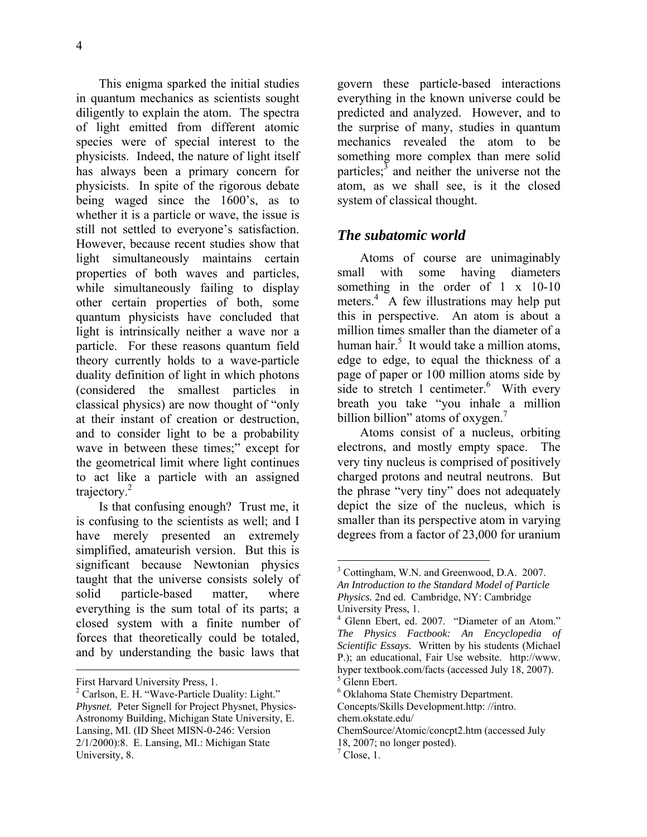This enigma sparked the initial studies in quantum mechanics as scientists sought diligently to explain the atom. The spectra of light emitted from different atomic species were of special interest to the physicists. Indeed, the nature of light itself has always been a primary concern for physicists. In spite of the rigorous debate being waged since the 1600's, as to whether it is a particle or wave, the issue is still not settled to everyone's satisfaction. However, because recent studies show that light simultaneously maintains certain properties of both waves and particles, while simultaneously failing to display other certain properties of both, some quantum physicists have concluded that light is intrinsically neither a wave nor a particle. For these reasons quantum field theory currently holds to a wave-particle duality definition of light in which photons (considered the smallest particles in classical physics) are now thought of "only at their instant of creation or destruction, and to consider light to be a probability wave in between these times;" except for the geometrical limit where light continues to act like a particle with an assigned trajectory.<sup>2</sup>

Is that confusing enough? Trust me, it is confusing to the scientists as well; and I have merely presented an extremely simplified, amateurish version. But this is significant because Newtonian physics taught that the universe consists solely of solid particle-based matter, where everything is the sum total of its parts; a closed system with a finite number of forces that theoretically could be totaled, and by understanding the basic laws that

 $\overline{a}$ 

govern these particle-based interactions everything in the known universe could be predicted and analyzed. However, and to the surprise of many, studies in quantum mechanics revealed the atom to be something more complex than mere solid particles; $\frac{3}{5}$  and neither the universe not the atom, as we shall see, is it the closed system of classical thought.

#### *The subatomic world*

Atoms of course are unimaginably small with some having diameters something in the order of 1 x 10-10 meters.<sup>4</sup> A few illustrations may help put this in perspective. An atom is about a million times smaller than the diameter of a human hair.<sup>5</sup> It would take a million atoms, edge to edge, to equal the thickness of a page of paper or 100 million atoms side by side to stretch 1 centimeter. $\frac{6}{1}$  With every breath you take "you inhale a million billion billion" atoms of oxygen.<sup>7</sup>

Atoms consist of a nucleus, orbiting electrons, and mostly empty space. The very tiny nucleus is comprised of positively charged protons and neutral neutrons. But the phrase "very tiny" does not adequately depict the size of the nucleus, which is smaller than its perspective atom in varying degrees from a factor of 23,000 for uranium

First Harvard University Press, 1.

<sup>&</sup>lt;sup>2</sup> Carlson, E. H. "Wave-Particle Duality: Light." *Physnet.* Peter Signell for Project Physnet, Physics-Astronomy Building, Michigan State University, E. Lansing, MI. (ID Sheet MISN-0-246: Version 2/1/2000):8. E. Lansing, MI.: Michigan State University, 8.

<sup>&</sup>lt;sup>3</sup> Cottingham, W.N. and Greenwood, D.A. 2007. *An Introduction to the Standard Model of Particle Physics.* 2nd ed. Cambridge, NY: Cambridge University Press, 1.

<sup>4</sup> Glenn Ebert, ed. 2007. "Diameter of an Atom." *The Physics Factbook: An Encyclopedia of Scientific Essays.* Written by his students (Michael P.); an educational, Fair Use website. http://www. hyper textbook.com/facts (accessed July 18, 2007).  $<sup>5</sup>$  Glenn Ebert.</sup>

<sup>6</sup> Oklahoma State Chemistry Department.

Concepts/Skills Development.http: //intro. chem.okstate.edu/

ChemSource/Atomic/concpt2.htm (accessed July

<sup>18, 2007;</sup> no longer posted).

 $<sup>7</sup>$  Close, 1.</sup>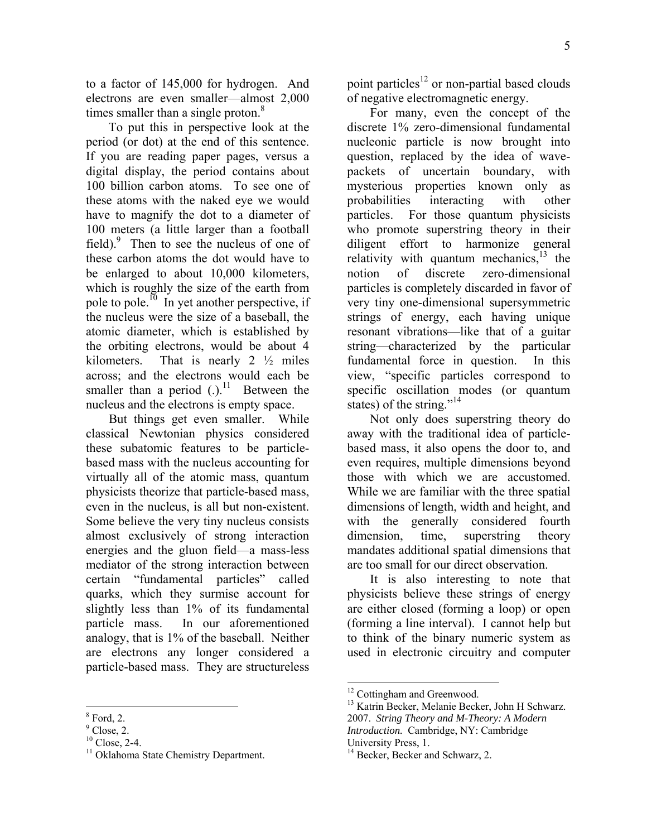to a factor of 145,000 for hydrogen. And electrons are even smaller—almost 2,000 times smaller than a single proton. $\delta$ 

To put this in perspective look at the period (or dot) at the end of this sentence. If you are reading paper pages, versus a digital display, the period contains about 100 billion carbon atoms. To see one of these atoms with the naked eye we would have to magnify the dot to a diameter of 100 meters (a little larger than a football field). $\int$ <sup>9</sup> Then to see the nucleus of one of these carbon atoms the dot would have to be enlarged to about 10,000 kilometers, which is roughly the size of the earth from pole to pole.<sup>10</sup> In yet another perspective, if the nucleus were the size of a baseball, the atomic diameter, which is established by the orbiting electrons, would be about 4 kilometers. That is nearly  $2 \frac{1}{2}$  miles across; and the electrons would each be smaller than a period  $(.)$ <sup>11</sup> Between the nucleus and the electrons is empty space.

But things get even smaller. While classical Newtonian physics considered these subatomic features to be particlebased mass with the nucleus accounting for virtually all of the atomic mass, quantum physicists theorize that particle-based mass, even in the nucleus, is all but non-existent. Some believe the very tiny nucleus consists almost exclusively of strong interaction energies and the gluon field—a mass-less mediator of the strong interaction between certain "fundamental particles" called quarks, which they surmise account for slightly less than 1% of its fundamental particle mass. In our aforementioned analogy, that is 1% of the baseball. Neither are electrons any longer considered a particle-based mass. They are structureless

point particles<sup>12</sup> or non-partial based clouds of negative electromagnetic energy.

For many, even the concept of the discrete 1% zero-dimensional fundamental nucleonic particle is now brought into question, replaced by the idea of wavepackets of uncertain boundary, with mysterious properties known only as probabilities interacting with other particles. For those quantum physicists who promote superstring theory in their diligent effort to harmonize general relativity with quantum mechanics,<sup>13</sup> the notion of discrete zero-dimensional particles is completely discarded in favor of very tiny one-dimensional supersymmetric strings of energy, each having unique resonant vibrations—like that of a guitar string—characterized by the particular fundamental force in question. In this view, "specific particles correspond to specific oscillation modes (or quantum states) of the string."<sup>14</sup>

Not only does superstring theory do away with the traditional idea of particlebased mass, it also opens the door to, and even requires, multiple dimensions beyond those with which we are accustomed. While we are familiar with the three spatial dimensions of length, width and height, and with the generally considered fourth dimension, time, superstring theory mandates additional spatial dimensions that are too small for our direct observation.

It is also interesting to note that physicists believe these strings of energy are either closed (forming a loop) or open (forming a line interval). I cannot help but to think of the binary numeric system as used in electronic circuitry and computer

<sup>&</sup>lt;u>.</u>  $8$  Ford, 2.

 $<sup>9</sup>$  Close, 2.</sup>

 $10$  Close, 2-4.

<sup>&</sup>lt;sup>11</sup> Oklahoma State Chemistry Department.

<sup>&</sup>lt;sup>12</sup> Cottingham and Greenwood.

<sup>&</sup>lt;sup>13</sup> Katrin Becker, Melanie Becker, John H Schwarz. 2007. *String Theory and M-Theory: A Modern Introduction.* Cambridge, NY: Cambridge University Press, 1.

<sup>&</sup>lt;sup>14</sup> Becker, Becker and Schwarz, 2.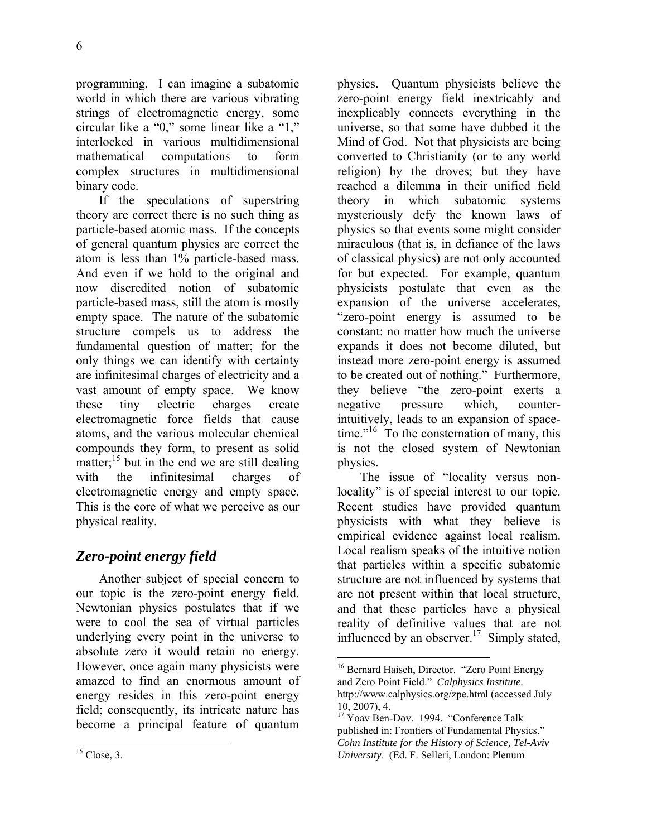programming. I can imagine a subatomic world in which there are various vibrating strings of electromagnetic energy, some circular like a "0," some linear like a "1," interlocked in various multidimensional mathematical computations to form complex structures in multidimensional binary code.

If the speculations of superstring theory are correct there is no such thing as particle-based atomic mass. If the concepts of general quantum physics are correct the atom is less than 1% particle-based mass. And even if we hold to the original and now discredited notion of subatomic particle-based mass, still the atom is mostly empty space. The nature of the subatomic structure compels us to address the fundamental question of matter; for the only things we can identify with certainty are infinitesimal charges of electricity and a vast amount of empty space. We know these tiny electric charges create electromagnetic force fields that cause atoms, and the various molecular chemical compounds they form, to present as solid matter; $^{15}$  but in the end we are still dealing with the infinitesimal charges of electromagnetic energy and empty space. This is the core of what we perceive as our physical reality.

# *Zero-point energy field*

Another subject of special concern to our topic is the zero-point energy field. Newtonian physics postulates that if we were to cool the sea of virtual particles underlying every point in the universe to absolute zero it would retain no energy. However, once again many physicists were amazed to find an enormous amount of energy resides in this zero-point energy field; consequently, its intricate nature has become a principal feature of quantum physics. Quantum physicists believe the zero-point energy field inextricably and inexplicably connects everything in the universe, so that some have dubbed it the Mind of God. Not that physicists are being converted to Christianity (or to any world religion) by the droves; but they have reached a dilemma in their unified field theory in which subatomic systems mysteriously defy the known laws of physics so that events some might consider miraculous (that is, in defiance of the laws of classical physics) are not only accounted for but expected. For example, quantum physicists postulate that even as the expansion of the universe accelerates, "zero-point energy is assumed to be constant: no matter how much the universe expands it does not become diluted, but instead more zero-point energy is assumed to be created out of nothing." Furthermore, they believe "the zero-point exerts a negative pressure which, counterintuitively, leads to an expansion of spacetime."<sup>16</sup> To the consternation of many, this is not the closed system of Newtonian physics.

The issue of "locality versus nonlocality" is of special interest to our topic. Recent studies have provided quantum physicists with what they believe is empirical evidence against local realism. Local realism speaks of the intuitive notion that particles within a specific subatomic structure are not influenced by systems that are not present within that local structure, and that these particles have a physical reality of definitive values that are not influenced by an observer.<sup>17</sup> Simply stated,

<sup>&</sup>lt;sup>16</sup> Bernard Haisch, Director. "Zero Point Energy and Zero Point Field." *Calphysics Institute.* http://www.calphysics.org/zpe.html (accessed July 10, 2007), 4.

<sup>&</sup>lt;sup>17</sup> Yoav Ben-Dov. 1994. "Conference Talk published in: Frontiers of Fundamental Physics." *Cohn Institute for the History of Science, Tel-Aviv University*. (Ed. F. Selleri, London: Plenum

 $\overline{a}$  $15$  Close, 3.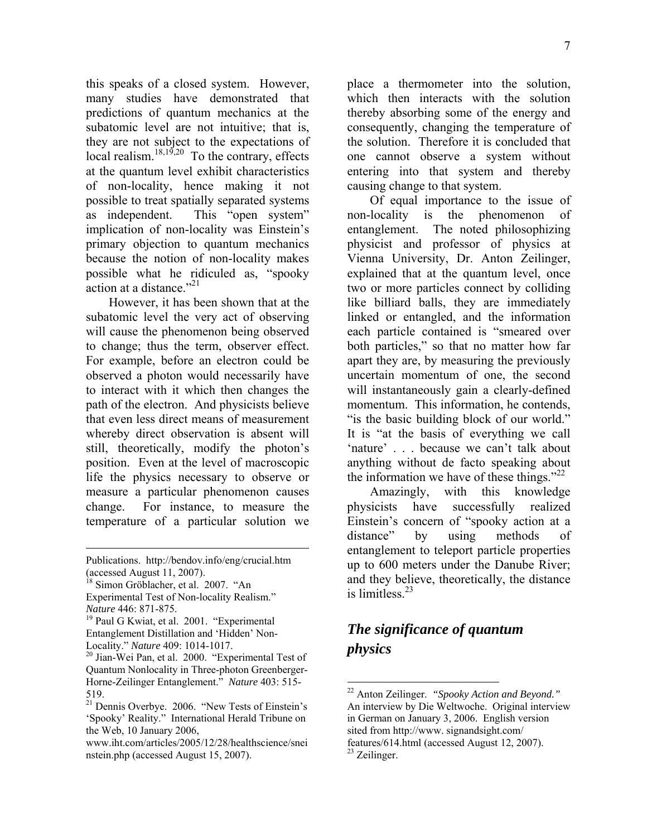7

this speaks of a closed system. However, many studies have demonstrated that predictions of quantum mechanics at the subatomic level are not intuitive; that is, they are not subject to the expectations of local realism.<sup>18,19,20</sup> To the contrary, effects at the quantum level exhibit characteristics of non-locality, hence making it not possible to treat spatially separated systems as independent. This "open system" implication of non-locality was Einstein's primary objection to quantum mechanics because the notion of non-locality makes possible what he ridiculed as, "spooky action at a distance  $^{321}$ 

However, it has been shown that at the subatomic level the very act of observing will cause the phenomenon being observed to change; thus the term, observer effect. For example, before an electron could be observed a photon would necessarily have to interact with it which then changes the path of the electron. And physicists believe that even less direct means of measurement whereby direct observation is absent will still, theoretically, modify the photon's position. Even at the level of macroscopic life the physics necessary to observe or measure a particular phenomenon causes change. For instance, to measure the temperature of a particular solution we

1

place a thermometer into the solution, which then interacts with the solution thereby absorbing some of the energy and consequently, changing the temperature of the solution. Therefore it is concluded that one cannot observe a system without entering into that system and thereby causing change to that system.

Of equal importance to the issue of non-locality is the phenomenon of entanglement. The noted philosophizing physicist and professor of physics at Vienna University, Dr. Anton Zeilinger, explained that at the quantum level, once two or more particles connect by colliding like billiard balls, they are immediately linked or entangled, and the information each particle contained is "smeared over both particles," so that no matter how far apart they are, by measuring the previously uncertain momentum of one, the second will instantaneously gain a clearly-defined momentum. This information, he contends, "is the basic building block of our world." It is "at the basis of everything we call 'nature' . . . because we can't talk about anything without de facto speaking about the information we have of these things." $22$ 

Amazingly, with this knowledge physicists have successfully realized Einstein's concern of "spooky action at a distance" by using methods of entanglement to teleport particle properties up to 600 meters under the Danube River; and they believe, theoretically, the distance is limitless.23

# *The significance of quantum physics*

Publications. http://bendov.info/eng/crucial.htm (accessed August 11, 2007).

<sup>18</sup> Simon Gröblacher, et al. 2007. "An Experimental Test of Non-locality Realism." *Nature* 446: 871-875.<br><sup>19</sup> Paul G Kwiat, et al. 2001. "Experimental

Entanglement Distillation and 'Hidden' Non-Locality." Nature 409: 1014-1017.

<sup>&</sup>lt;sup>20</sup> Jian-Wei Pan, et al. 2000. "Experimental Test of Quantum Nonlocality in Three-photon Greenberger-Horne-Zeilinger Entanglement." *Nature* 403: 515- 519.

<sup>21</sup> Dennis Overbye. 2006. "New Tests of Einstein's 'Spooky' Reality." International Herald Tribune on the Web, 10 January 2006,

www.iht.com/articles/2005/12/28/healthscience/snei nstein.php (accessed August 15, 2007).

<sup>22</sup> Anton Zeilinger. *"Spooky Action and Beyond."* An interview by Die Weltwoche. Original interview in German on January 3, 2006. English version sited from http://www. signandsight.com/ features/614.html (accessed August 12, 2007). 23 Zeilinger.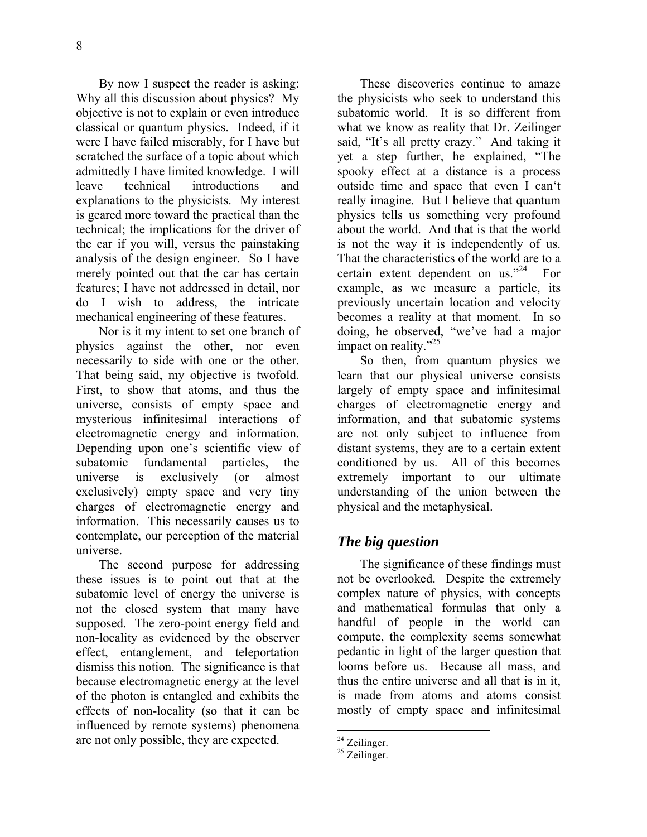8

By now I suspect the reader is asking: Why all this discussion about physics? My objective is not to explain or even introduce classical or quantum physics. Indeed, if it were I have failed miserably, for I have but scratched the surface of a topic about which admittedly I have limited knowledge. I will leave technical introductions and explanations to the physicists. My interest is geared more toward the practical than the technical; the implications for the driver of the car if you will, versus the painstaking analysis of the design engineer. So I have merely pointed out that the car has certain features; I have not addressed in detail, nor do I wish to address, the intricate mechanical engineering of these features.

Nor is it my intent to set one branch of physics against the other, nor even necessarily to side with one or the other. That being said, my objective is twofold. First, to show that atoms, and thus the universe, consists of empty space and mysterious infinitesimal interactions of electromagnetic energy and information. Depending upon one's scientific view of subatomic fundamental particles, the universe is exclusively (or almost exclusively) empty space and very tiny charges of electromagnetic energy and information. This necessarily causes us to contemplate, our perception of the material universe.

The second purpose for addressing these issues is to point out that at the subatomic level of energy the universe is not the closed system that many have supposed. The zero-point energy field and non-locality as evidenced by the observer effect, entanglement, and teleportation dismiss this notion. The significance is that because electromagnetic energy at the level of the photon is entangled and exhibits the effects of non-locality (so that it can be influenced by remote systems) phenomena are not only possible, they are expected.

These discoveries continue to amaze the physicists who seek to understand this subatomic world. It is so different from what we know as reality that Dr. Zeilinger said, "It's all pretty crazy." And taking it yet a step further, he explained, "The spooky effect at a distance is a process outside time and space that even I can't really imagine. But I believe that quantum physics tells us something very profound about the world. And that is that the world is not the way it is independently of us. That the characteristics of the world are to a certain extent dependent on us."<sup>24</sup> For example, as we measure a particle, its previously uncertain location and velocity becomes a reality at that moment. In so doing, he observed, "we've had a major impact on reality."<sup>25</sup>

So then, from quantum physics we learn that our physical universe consists largely of empty space and infinitesimal charges of electromagnetic energy and information, and that subatomic systems are not only subject to influence from distant systems, they are to a certain extent conditioned by us. All of this becomes extremely important to our ultimate understanding of the union between the physical and the metaphysical.

## *The big question*

The significance of these findings must not be overlooked. Despite the extremely complex nature of physics, with concepts and mathematical formulas that only a handful of people in the world can compute, the complexity seems somewhat pedantic in light of the larger question that looms before us. Because all mass, and thus the entire universe and all that is in it, is made from atoms and atoms consist mostly of empty space and infinitesimal

 $24$  Zeilinger.

<sup>&</sup>lt;sup>25</sup> Zeilinger.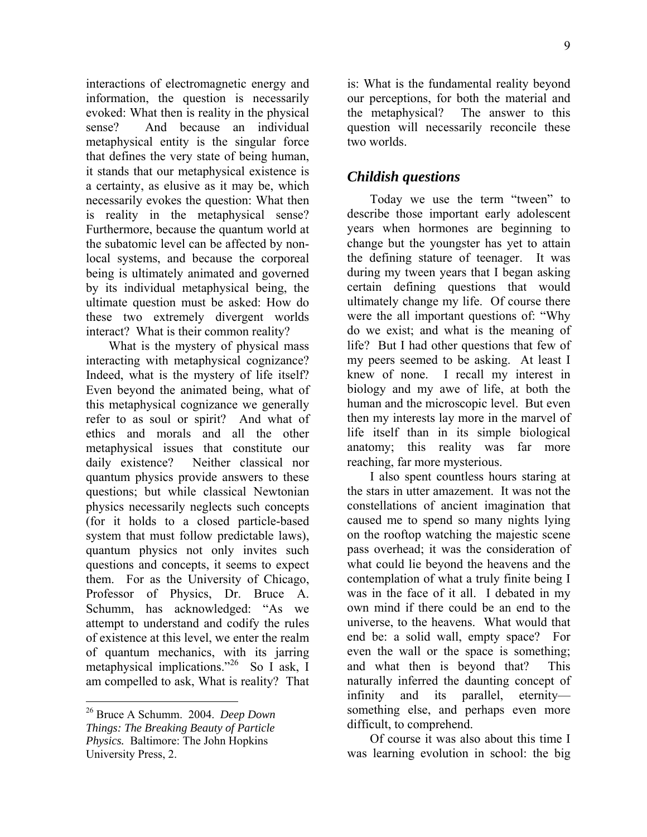interactions of electromagnetic energy and information, the question is necessarily evoked: What then is reality in the physical sense? And because an individual metaphysical entity is the singular force that defines the very state of being human, it stands that our metaphysical existence is a certainty, as elusive as it may be, which necessarily evokes the question: What then is reality in the metaphysical sense? Furthermore, because the quantum world at the subatomic level can be affected by nonlocal systems, and because the corporeal being is ultimately animated and governed by its individual metaphysical being, the ultimate question must be asked: How do these two extremely divergent worlds interact? What is their common reality?

What is the mystery of physical mass interacting with metaphysical cognizance? Indeed, what is the mystery of life itself? Even beyond the animated being, what of this metaphysical cognizance we generally refer to as soul or spirit? And what of ethics and morals and all the other metaphysical issues that constitute our daily existence? Neither classical nor quantum physics provide answers to these questions; but while classical Newtonian physics necessarily neglects such concepts (for it holds to a closed particle-based system that must follow predictable laws), quantum physics not only invites such questions and concepts, it seems to expect them. For as the University of Chicago, Professor of Physics, Dr. Bruce A. Schumm, has acknowledged: "As we attempt to understand and codify the rules of existence at this level, we enter the realm of quantum mechanics, with its jarring metaphysical implications."<sup>26</sup> So I ask, I am compelled to ask, What is reality? That

26 Bruce A Schumm. 2004. *Deep Down Things: The Breaking Beauty of Particle Physics.* Baltimore: The John Hopkins University Press, 2.

<u>.</u>

is: What is the fundamental reality beyond our perceptions, for both the material and the metaphysical? The answer to this question will necessarily reconcile these two worlds.

## *Childish questions*

Today we use the term "tween" to describe those important early adolescent years when hormones are beginning to change but the youngster has yet to attain the defining stature of teenager. It was during my tween years that I began asking certain defining questions that would ultimately change my life. Of course there were the all important questions of: "Why do we exist; and what is the meaning of life? But I had other questions that few of my peers seemed to be asking. At least I knew of none. I recall my interest in biology and my awe of life, at both the human and the microscopic level. But even then my interests lay more in the marvel of life itself than in its simple biological anatomy; this reality was far more reaching, far more mysterious.

I also spent countless hours staring at the stars in utter amazement. It was not the constellations of ancient imagination that caused me to spend so many nights lying on the rooftop watching the majestic scene pass overhead; it was the consideration of what could lie beyond the heavens and the contemplation of what a truly finite being I was in the face of it all. I debated in my own mind if there could be an end to the universe, to the heavens. What would that end be: a solid wall, empty space? For even the wall or the space is something; and what then is beyond that? This naturally inferred the daunting concept of infinity and its parallel, eternity something else, and perhaps even more difficult, to comprehend.

Of course it was also about this time I was learning evolution in school: the big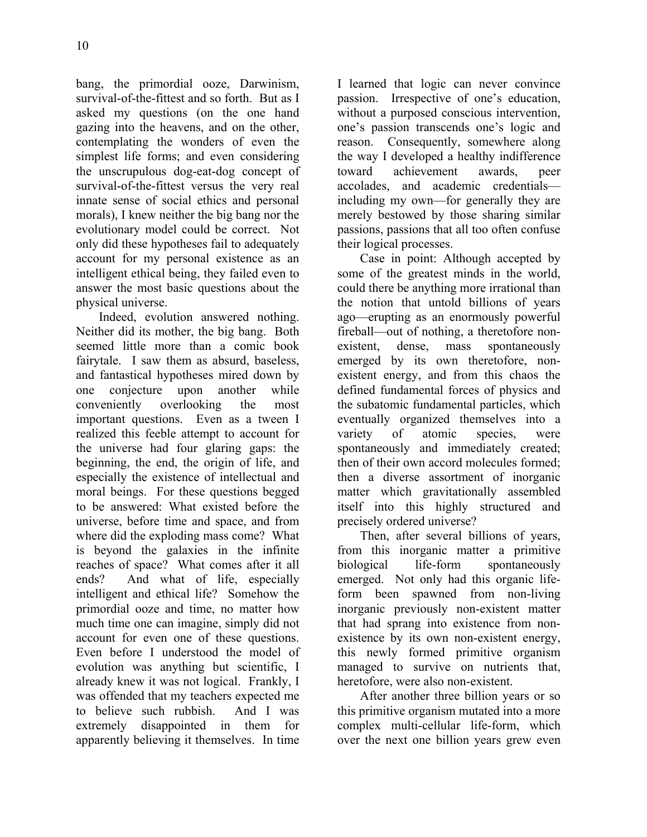bang, the primordial ooze, Darwinism, survival-of-the-fittest and so forth. But as I asked my questions (on the one hand gazing into the heavens, and on the other, contemplating the wonders of even the simplest life forms; and even considering the unscrupulous dog-eat-dog concept of survival-of-the-fittest versus the very real innate sense of social ethics and personal morals), I knew neither the big bang nor the evolutionary model could be correct. Not only did these hypotheses fail to adequately account for my personal existence as an intelligent ethical being, they failed even to answer the most basic questions about the physical universe.

Indeed, evolution answered nothing. Neither did its mother, the big bang. Both seemed little more than a comic book fairytale. I saw them as absurd, baseless, and fantastical hypotheses mired down by one conjecture upon another while conveniently overlooking the most important questions. Even as a tween I realized this feeble attempt to account for the universe had four glaring gaps: the beginning, the end, the origin of life, and especially the existence of intellectual and moral beings. For these questions begged to be answered: What existed before the universe, before time and space, and from where did the exploding mass come? What is beyond the galaxies in the infinite reaches of space? What comes after it all ends? And what of life, especially intelligent and ethical life? Somehow the primordial ooze and time, no matter how much time one can imagine, simply did not account for even one of these questions. Even before I understood the model of evolution was anything but scientific, I already knew it was not logical. Frankly, I was offended that my teachers expected me to believe such rubbish. And I was extremely disappointed in them for apparently believing it themselves. In time I learned that logic can never convince passion. Irrespective of one's education, without a purposed conscious intervention, one's passion transcends one's logic and reason. Consequently, somewhere along the way I developed a healthy indifference toward achievement awards, peer accolades, and academic credentials including my own—for generally they are merely bestowed by those sharing similar passions, passions that all too often confuse their logical processes.

Case in point: Although accepted by some of the greatest minds in the world, could there be anything more irrational than the notion that untold billions of years ago—erupting as an enormously powerful fireball—out of nothing, a theretofore nonexistent, dense, mass spontaneously emerged by its own theretofore, nonexistent energy, and from this chaos the defined fundamental forces of physics and the subatomic fundamental particles, which eventually organized themselves into a variety of atomic species, were spontaneously and immediately created; then of their own accord molecules formed; then a diverse assortment of inorganic matter which gravitationally assembled itself into this highly structured and precisely ordered universe?

Then, after several billions of years, from this inorganic matter a primitive biological life-form spontaneously emerged. Not only had this organic lifeform been spawned from non-living inorganic previously non-existent matter that had sprang into existence from nonexistence by its own non-existent energy, this newly formed primitive organism managed to survive on nutrients that, heretofore, were also non-existent.

After another three billion years or so this primitive organism mutated into a more complex multi-cellular life-form, which over the next one billion years grew even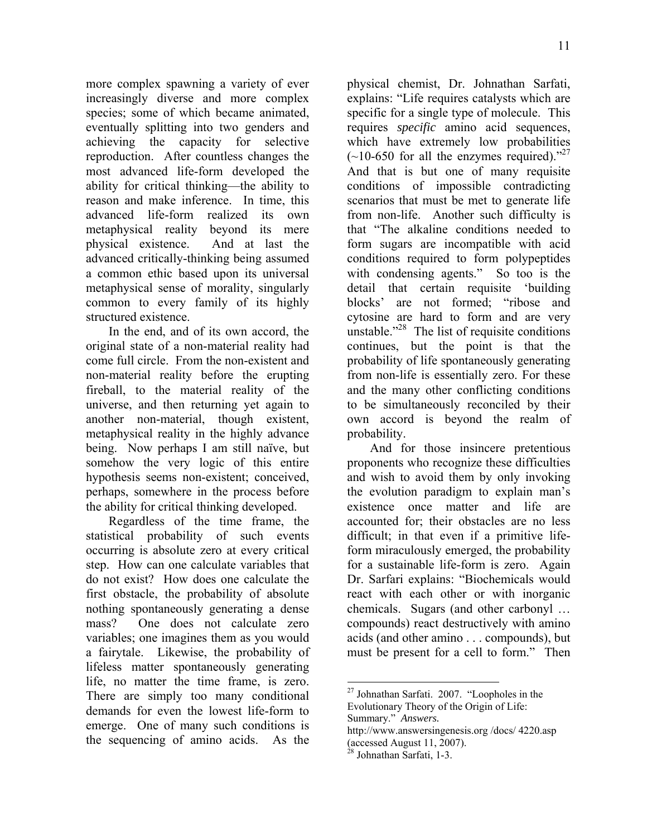more complex spawning a variety of ever increasingly diverse and more complex species; some of which became animated, eventually splitting into two genders and achieving the capacity for selective reproduction. After countless changes the most advanced life-form developed the ability for critical thinking—the ability to reason and make inference. In time, this advanced life-form realized its own metaphysical reality beyond its mere physical existence. And at last the advanced critically-thinking being assumed a common ethic based upon its universal metaphysical sense of morality, singularly common to every family of its highly structured existence.

In the end, and of its own accord, the original state of a non-material reality had come full circle. From the non-existent and non-material reality before the erupting fireball, to the material reality of the universe, and then returning yet again to another non-material, though existent, metaphysical reality in the highly advance being. Now perhaps I am still naïve, but somehow the very logic of this entire hypothesis seems non-existent; conceived, perhaps, somewhere in the process before the ability for critical thinking developed.

Regardless of the time frame, the statistical probability of such events occurring is absolute zero at every critical step. How can one calculate variables that do not exist? How does one calculate the first obstacle, the probability of absolute nothing spontaneously generating a dense mass? One does not calculate zero variables; one imagines them as you would a fairytale. Likewise, the probability of lifeless matter spontaneously generating life, no matter the time frame, is zero. There are simply too many conditional demands for even the lowest life-form to emerge. One of many such conditions is the sequencing of amino acids. As the

physical chemist, Dr. Johnathan Sarfati, explains: "Life requires catalysts which are specific for a single type of molecule. This requires *specific* amino acid sequences, which have extremely low probabilities  $(-10-650$  for all the enzymes required)."<sup>27</sup> And that is but one of many requisite conditions of impossible contradicting scenarios that must be met to generate life from non-life. Another such difficulty is that "The alkaline conditions needed to form sugars are incompatible with acid conditions required to form polypeptides with condensing agents." So too is the detail that certain requisite 'building blocks' are not formed; "ribose and cytosine are hard to form and are very unstable."<sup>28</sup> The list of requisite conditions continues, but the point is that the probability of life spontaneously generating from non-life is essentially zero. For these and the many other conflicting conditions to be simultaneously reconciled by their own accord is beyond the realm of probability.

And for those insincere pretentious proponents who recognize these difficulties and wish to avoid them by only invoking the evolution paradigm to explain man's existence once matter and life are accounted for; their obstacles are no less difficult; in that even if a primitive lifeform miraculously emerged, the probability for a sustainable life-form is zero. Again Dr. Sarfari explains: "Biochemicals would react with each other or with inorganic chemicals. Sugars (and other carbonyl … compounds) react destructively with amino acids (and other amino . . . compounds), but must be present for a cell to form." Then

 $\overline{a}$ 27 Johnathan Sarfati. 2007. "Loopholes in the Evolutionary Theory of the Origin of Life: Summary." *Answers.*

http://www.answersingenesis.org /docs/ 4220.asp (accessed August 11, 2007).

Johnathan Sarfati, 1-3.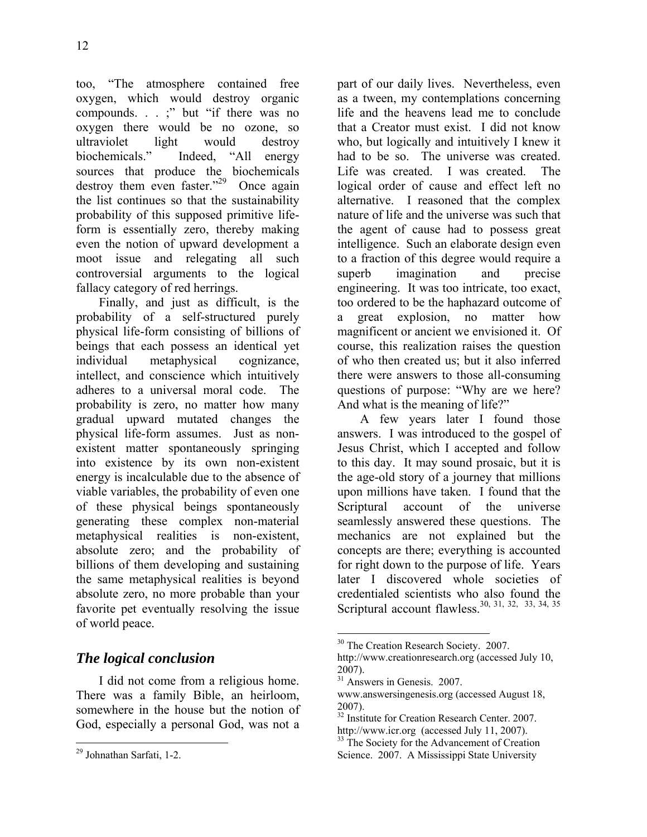12

too, "The atmosphere contained free oxygen, which would destroy organic compounds. . . ;" but "if there was no oxygen there would be no ozone, so ultraviolet light would destroy biochemicals." Indeed, "All energy sources that produce the biochemicals destroy them even faster."<sup>29</sup> Once again the list continues so that the sustainability probability of this supposed primitive lifeform is essentially zero, thereby making even the notion of upward development a moot issue and relegating all such controversial arguments to the logical fallacy category of red herrings.

Finally, and just as difficult, is the probability of a self-structured purely physical life-form consisting of billions of beings that each possess an identical yet individual metaphysical cognizance, intellect, and conscience which intuitively adheres to a universal moral code. The probability is zero, no matter how many gradual upward mutated changes the physical life-form assumes. Just as nonexistent matter spontaneously springing into existence by its own non-existent energy is incalculable due to the absence of viable variables, the probability of even one of these physical beings spontaneously generating these complex non-material metaphysical realities is non-existent, absolute zero; and the probability of billions of them developing and sustaining the same metaphysical realities is beyond absolute zero, no more probable than your favorite pet eventually resolving the issue of world peace.

# *The logical conclusion*

I did not come from a religious home. There was a family Bible, an heirloom, somewhere in the house but the notion of God, especially a personal God, was not a part of our daily lives. Nevertheless, even as a tween, my contemplations concerning life and the heavens lead me to conclude that a Creator must exist. I did not know who, but logically and intuitively I knew it had to be so. The universe was created. Life was created. I was created. The logical order of cause and effect left no alternative. I reasoned that the complex nature of life and the universe was such that the agent of cause had to possess great intelligence. Such an elaborate design even to a fraction of this degree would require a superb imagination and precise engineering. It was too intricate, too exact, too ordered to be the haphazard outcome of a great explosion, no matter how magnificent or ancient we envisioned it. Of course, this realization raises the question of who then created us; but it also inferred there were answers to those all-consuming questions of purpose: "Why are we here? And what is the meaning of life?"

A few years later I found those answers. I was introduced to the gospel of Jesus Christ, which I accepted and follow to this day. It may sound prosaic, but it is the age-old story of a journey that millions upon millions have taken. I found that the Scriptural account of the universe seamlessly answered these questions. The mechanics are not explained but the concepts are there; everything is accounted for right down to the purpose of life. Years later I discovered whole societies of credentialed scientists who also found the Scriptural account flawless.<sup>30, 31, 32, 33, 34, 35</sup>

 $\overline{a}$ 29 Johnathan Sarfati, 1-2.

 $\overline{a}$ <sup>30</sup> The Creation Research Society. 2007.

http://www.creationresearch.org (accessed July 10, 2007).

<sup>&</sup>lt;sup>31</sup> Answers in Genesis. 2007.

www.answersingenesis.org (accessed August 18, 2007).

<sup>&</sup>lt;sup>32</sup> Institute for Creation Research Center. 2007.

http://www.icr.org (accessed July 11, 2007).<br><sup>33</sup> The Society for the Advancement of Creation Science. 2007. A Mississippi State University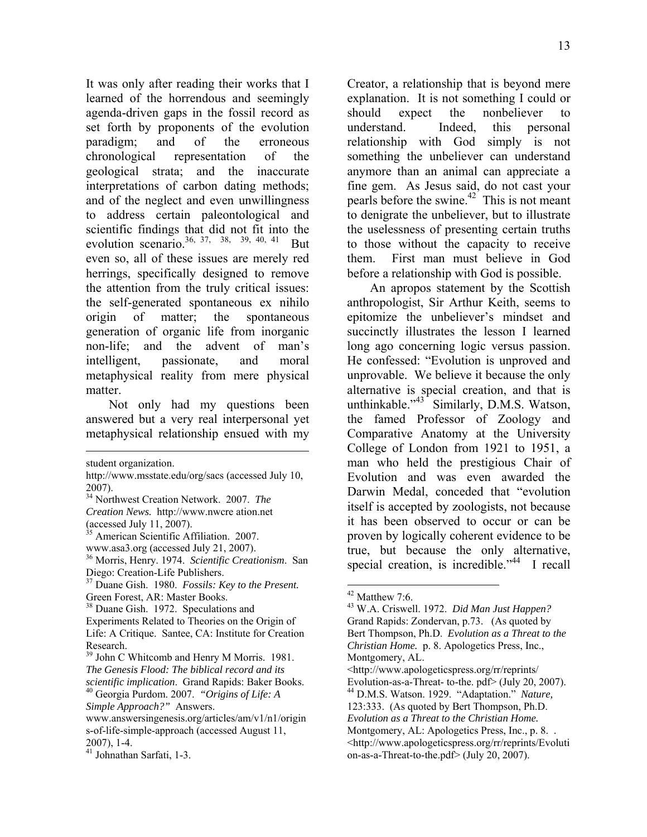It was only after reading their works that I learned of the horrendous and seemingly agenda-driven gaps in the fossil record as set forth by proponents of the evolution paradigm; and of the erroneous chronological representation of the geological strata; and the inaccurate interpretations of carbon dating methods; and of the neglect and even unwillingness to address certain paleontological and scientific findings that did not fit into the evolution scenario.<sup>36, 37, 38, 39, 40, 41</sup> But even so, all of these issues are merely red herrings, specifically designed to remove the attention from the truly critical issues: the self-generated spontaneous ex nihilo origin of matter; the spontaneous generation of organic life from inorganic non-life; and the advent of man's intelligent, passionate, and moral metaphysical reality from mere physical matter.

Not only had my questions been answered but a very real interpersonal yet metaphysical relationship ensued with my

1

Creator, a relationship that is beyond mere explanation. It is not something I could or should expect the nonbeliever to understand. Indeed, this personal relationship with God simply is not something the unbeliever can understand anymore than an animal can appreciate a fine gem. As Jesus said, do not cast your pearls before the swine.42 This is not meant to denigrate the unbeliever, but to illustrate the uselessness of presenting certain truths to those without the capacity to receive them. First man must believe in God before a relationship with God is possible.

An apropos statement by the Scottish anthropologist, Sir Arthur Keith, seems to epitomize the unbeliever's mindset and succinctly illustrates the lesson I learned long ago concerning logic versus passion. He confessed: "Evolution is unproved and unprovable. We believe it because the only alternative is special creation, and that is unthinkable."<sup>43</sup> Similarly, D.M.S. Watson, the famed Professor of Zoology and Comparative Anatomy at the University College of London from 1921 to 1951, a man who held the prestigious Chair of Evolution and was even awarded the Darwin Medal, conceded that "evolution itself is accepted by zoologists, not because it has been observed to occur or can be proven by logically coherent evidence to be true, but because the only alternative, special creation, is incredible."<sup>44</sup> I recall

student organization.

http://www.msstate.edu/org/sacs (accessed July 10, 2007).

<sup>34</sup> Northwest Creation Network. 2007. *The* 

*Creation News.* http://www.nwcre ation.net (accessed July 11, 2007).

<sup>&</sup>lt;sup>35</sup> American Scientific Affiliation. 2007.

www.asa3.org (accessed July 21, 2007).

<sup>36</sup> Morris, Henry. 1974. *Scientific Creationism*. San Diego: Creation-Life Publishers.

<sup>37</sup> Duane Gish. 1980. *Fossils: Key to the Present.* Green Forest, AR: Master Books.

<sup>&</sup>lt;sup>38</sup> Duane Gish. 1972. Speculations and

Experiments Related to Theories on the Origin of Life: A Critique. Santee, CA: Institute for Creation Research.

<sup>&</sup>lt;sup>39</sup> John C Whitcomb and Henry M Morris. 1981. *The Genesis Flood: The biblical record and its scientific implication*. Grand Rapids: Baker Books. 40 Georgia Purdom. 2007. *"Origins of Life: A* 

*Simple Approach?"* Answers.

www.answersingenesis.org/articles/am/v1/n1/origin s-of-life-simple-approach (accessed August 11, 2007), 1-4.

<sup>41</sup> Johnathan Sarfati, 1-3.

 $42$  Matthew 7:6.

<sup>43</sup> W.A. Criswell. 1972. *Did Man Just Happen?*  Grand Rapids: Zondervan, p.73. (As quoted by Bert Thompson, Ph.D. *Evolution as a Threat to the Christian Home.* p. 8. Apologetics Press, Inc., Montgomery, AL. <http://www.apologeticspress.org/rr/reprints/ Evolution-as-a-Threat- to-the. pdf> (July 20, 2007). 44 D.M.S. Watson. 1929. "Adaptation." *Nature,* 123:333. (As quoted by Bert Thompson, Ph.D. *Evolution as a Threat to the Christian Home.* Montgomery, AL: Apologetics Press, Inc., p. 8... <http://www.apologeticspress.org/rr/reprints/Evoluti on-as-a-Threat-to-the.pdf> (July 20, 2007).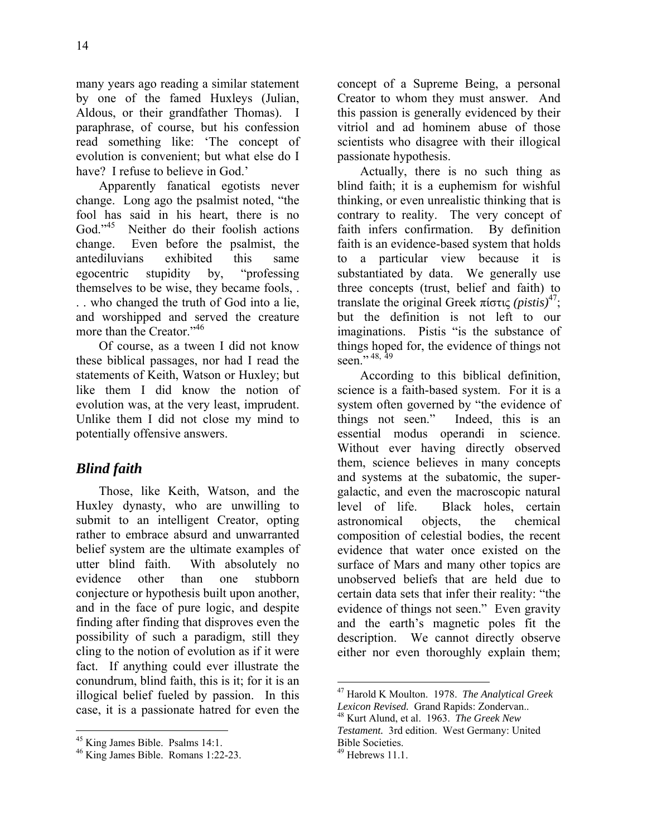many years ago reading a similar statement by one of the famed Huxleys (Julian, Aldous, or their grandfather Thomas). I paraphrase, of course, but his confession read something like: 'The concept of evolution is convenient; but what else do I have? I refuse to believe in God.'

Apparently fanatical egotists never change. Long ago the psalmist noted, "the fool has said in his heart, there is no<br>God<sup> $,45$ </sup> Neither do their foolish actions Neither do their foolish actions change. Even before the psalmist, the antediluvians exhibited this same egocentric stupidity by, "professing themselves to be wise, they became fools, . . . who changed the truth of God into a lie, and worshipped and served the creature more than the Creator."<sup>46</sup>

Of course, as a tween I did not know these biblical passages, nor had I read the statements of Keith, Watson or Huxley; but like them I did know the notion of evolution was, at the very least, imprudent. Unlike them I did not close my mind to potentially offensive answers.

## *Blind faith*

Those, like Keith, Watson, and the Huxley dynasty, who are unwilling to submit to an intelligent Creator, opting rather to embrace absurd and unwarranted belief system are the ultimate examples of utter blind faith. With absolutely no evidence other than one stubborn conjecture or hypothesis built upon another, and in the face of pure logic, and despite finding after finding that disproves even the possibility of such a paradigm, still they cling to the notion of evolution as if it were fact. If anything could ever illustrate the conundrum, blind faith, this is it; for it is an illogical belief fueled by passion. In this case, it is a passionate hatred for even the

 $\overline{a}$ 

concept of a Supreme Being, a personal Creator to whom they must answer. And this passion is generally evidenced by their vitriol and ad hominem abuse of those scientists who disagree with their illogical passionate hypothesis.

Actually, there is no such thing as blind faith; it is a euphemism for wishful thinking, or even unrealistic thinking that is contrary to reality. The very concept of faith infers confirmation. By definition faith is an evidence-based system that holds to a particular view because it is substantiated by data. We generally use three concepts (trust, belief and faith) to translate the original Greek πίστις *(pistis)*47; but the definition is not left to our imaginations. Pistis "is the substance of things hoped for, the evidence of things not seen.", 48, 49

According to this biblical definition, science is a faith-based system. For it is a system often governed by "the evidence of things not seen." Indeed, this is an essential modus operandi in science. Without ever having directly observed them, science believes in many concepts and systems at the subatomic, the supergalactic, and even the macroscopic natural level of life. Black holes, certain astronomical objects, the chemical composition of celestial bodies, the recent evidence that water once existed on the surface of Mars and many other topics are unobserved beliefs that are held due to certain data sets that infer their reality: "the evidence of things not seen." Even gravity and the earth's magnetic poles fit the description. We cannot directly observe either nor even thoroughly explain them;

<sup>45</sup> King James Bible. Psalms 14:1.

<sup>46</sup> King James Bible. Romans 1:22-23.

 $\overline{a}$ 47 Harold K Moulton. 1978. *The Analytical Greek Lexicon Revised.* Grand Rapids: Zondervan.. 48 Kurt Alund, et al. 1963. *The Greek New* 

*Testament.* 3rd edition. West Germany: United Bible Societies.

 $49$  Hebrews 11.1.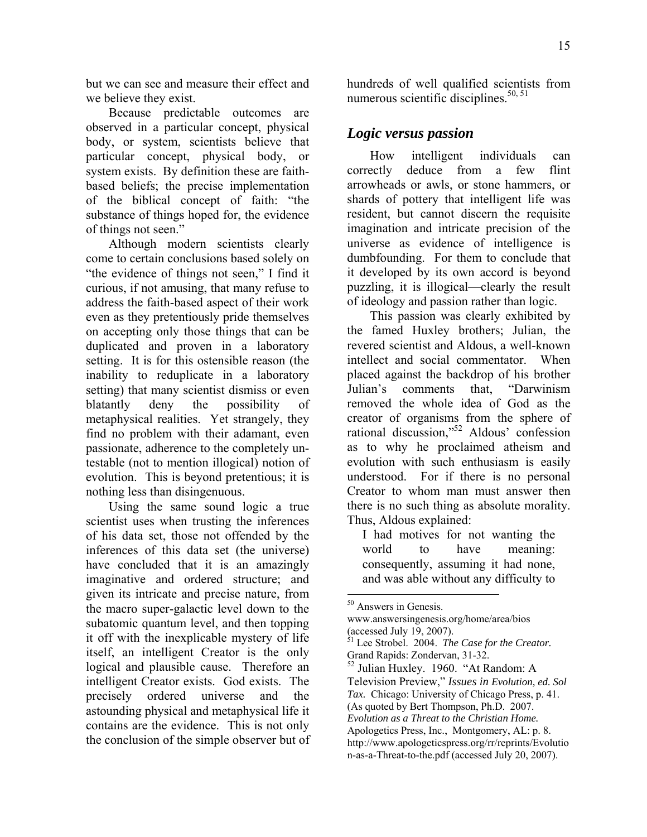but we can see and measure their effect and we believe they exist.

Because predictable outcomes are observed in a particular concept, physical body, or system, scientists believe that particular concept, physical body, or system exists. By definition these are faithbased beliefs; the precise implementation of the biblical concept of faith: "the substance of things hoped for, the evidence of things not seen."

Although modern scientists clearly come to certain conclusions based solely on "the evidence of things not seen," I find it curious, if not amusing, that many refuse to address the faith-based aspect of their work even as they pretentiously pride themselves on accepting only those things that can be duplicated and proven in a laboratory setting. It is for this ostensible reason (the inability to reduplicate in a laboratory setting) that many scientist dismiss or even blatantly deny the possibility of metaphysical realities. Yet strangely, they find no problem with their adamant, even passionate, adherence to the completely untestable (not to mention illogical) notion of evolution. This is beyond pretentious; it is nothing less than disingenuous.

Using the same sound logic a true scientist uses when trusting the inferences of his data set, those not offended by the inferences of this data set (the universe) have concluded that it is an amazingly imaginative and ordered structure; and given its intricate and precise nature, from the macro super-galactic level down to the subatomic quantum level, and then topping it off with the inexplicable mystery of life itself, an intelligent Creator is the only logical and plausible cause. Therefore an intelligent Creator exists. God exists. The precisely ordered universe and the astounding physical and metaphysical life it contains are the evidence. This is not only the conclusion of the simple observer but of hundreds of well qualified scientists from numerous scientific disciplines. $50, 51$ 

#### *Logic versus passion*

How intelligent individuals can correctly deduce from a few flint arrowheads or awls, or stone hammers, or shards of pottery that intelligent life was resident, but cannot discern the requisite imagination and intricate precision of the universe as evidence of intelligence is dumbfounding. For them to conclude that it developed by its own accord is beyond puzzling, it is illogical—clearly the result of ideology and passion rather than logic.

This passion was clearly exhibited by the famed Huxley brothers; Julian, the revered scientist and Aldous, a well-known intellect and social commentator. When placed against the backdrop of his brother Julian's comments that, "Darwinism removed the whole idea of God as the creator of organisms from the sphere of rational discussion,"52 Aldous' confession as to why he proclaimed atheism and evolution with such enthusiasm is easily understood. For if there is no personal Creator to whom man must answer then there is no such thing as absolute morality. Thus, Aldous explained:

I had motives for not wanting the world to have meaning: consequently, assuming it had none, and was able without any difficulty to

<sup>50</sup> Answers in Genesis.

www.answersingenesis.org/home/area/bios (accessed July 19, 2007).<br> $51 \text{ J} \approx 54.1 \text{ J}$ 

Lee Strobel. 2004. *The Case for the Creator*. Grand Rapids: Zondervan, 31-32.

<sup>52</sup> Julian Huxley. 1960. "At Random: A Television Preview," *Issues in Evolution, ed. Sol Tax.* Chicago: University of Chicago Press, p. 41. (As quoted by Bert Thompson, Ph.D. 2007. *Evolution as a Threat to the Christian Home.* Apologetics Press, Inc., Montgomery, AL: p. 8. http://www.apologeticspress.org/rr/reprints/Evolutio n-as-a-Threat-to-the.pdf (accessed July 20, 2007).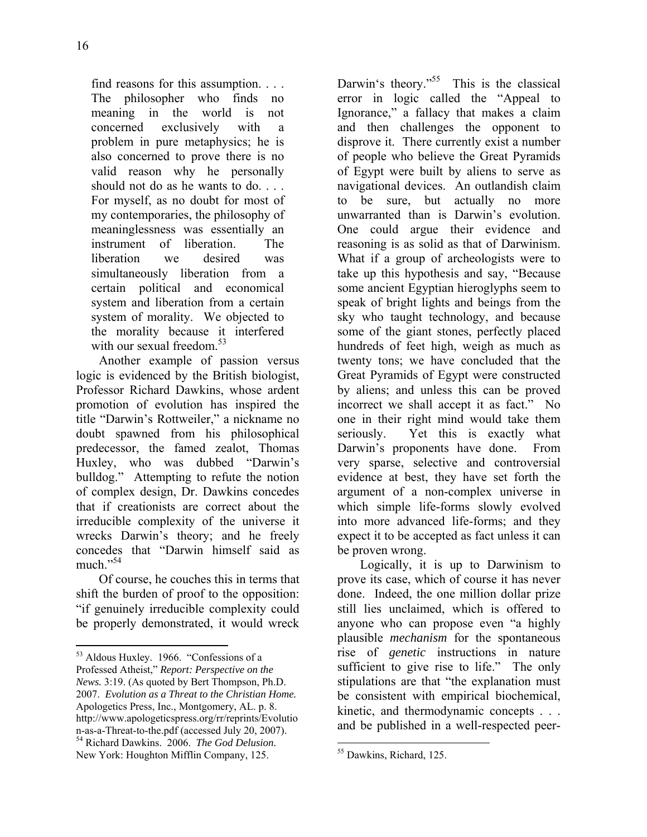find reasons for this assumption. . . . The philosopher who finds no meaning in the world is not concerned exclusively with a problem in pure metaphysics; he is also concerned to prove there is no valid reason why he personally should not do as he wants to do. . . . For myself, as no doubt for most of my contemporaries, the philosophy of meaninglessness was essentially an instrument of liberation. The liberation we desired was simultaneously liberation from a certain political and economical system and liberation from a certain system of morality. We objected to the morality because it interfered with our sexual freedom. $53$ 

Another example of passion versus logic is evidenced by the British biologist, Professor Richard Dawkins, whose ardent promotion of evolution has inspired the title "Darwin's Rottweiler," a nickname no doubt spawned from his philosophical predecessor, the famed zealot, Thomas Huxley, who was dubbed "Darwin's bulldog." Attempting to refute the notion of complex design, Dr. Dawkins concedes that if creationists are correct about the irreducible complexity of the universe it wrecks Darwin's theory; and he freely concedes that "Darwin himself said as much "54

Of course, he couches this in terms that shift the burden of proof to the opposition: "if genuinely irreducible complexity could be properly demonstrated, it would wreck

 $\overline{a}$ 

Darwin's theory."<sup>55</sup> This is the classical error in logic called the "Appeal to Ignorance," a fallacy that makes a claim and then challenges the opponent to disprove it. There currently exist a number of people who believe the Great Pyramids of Egypt were built by aliens to serve as navigational devices. An outlandish claim to be sure, but actually no more unwarranted than is Darwin's evolution. One could argue their evidence and reasoning is as solid as that of Darwinism. What if a group of archeologists were to take up this hypothesis and say, "Because some ancient Egyptian hieroglyphs seem to speak of bright lights and beings from the sky who taught technology, and because some of the giant stones, perfectly placed hundreds of feet high, weigh as much as twenty tons; we have concluded that the Great Pyramids of Egypt were constructed by aliens; and unless this can be proved incorrect we shall accept it as fact." No one in their right mind would take them seriously. Yet this is exactly what Darwin's proponents have done. From very sparse, selective and controversial evidence at best, they have set forth the argument of a non-complex universe in which simple life-forms slowly evolved into more advanced life-forms; and they expect it to be accepted as fact unless it can be proven wrong.

Logically, it is up to Darwinism to prove its case, which of course it has never done. Indeed, the one million dollar prize still lies unclaimed, which is offered to anyone who can propose even "a highly plausible *mechanism* for the spontaneous rise of *genetic* instructions in nature sufficient to give rise to life." The only stipulations are that "the explanation must be consistent with empirical biochemical, kinetic, and thermodynamic concepts . . . and be published in a well-respected peer-

<sup>53</sup> Aldous Huxley. 1966. "Confessions of a Professed Atheist," *Report: Perspective on the News.* 3:19. (As quoted by Bert Thompson, Ph.D. 2007. *Evolution as a Threat to the Christian Home.* Apologetics Press, Inc., Montgomery, AL. p. 8. http://www.apologeticspress.org/rr/reprints/Evolutio n-as-a-Threat-to-the.pdf (accessed July 20, 2007). 54 Richard Dawkins. 2006. *The God Delusion.*  New York: Houghton Mifflin Company, 125.

<sup>55</sup> Dawkins, Richard, 125.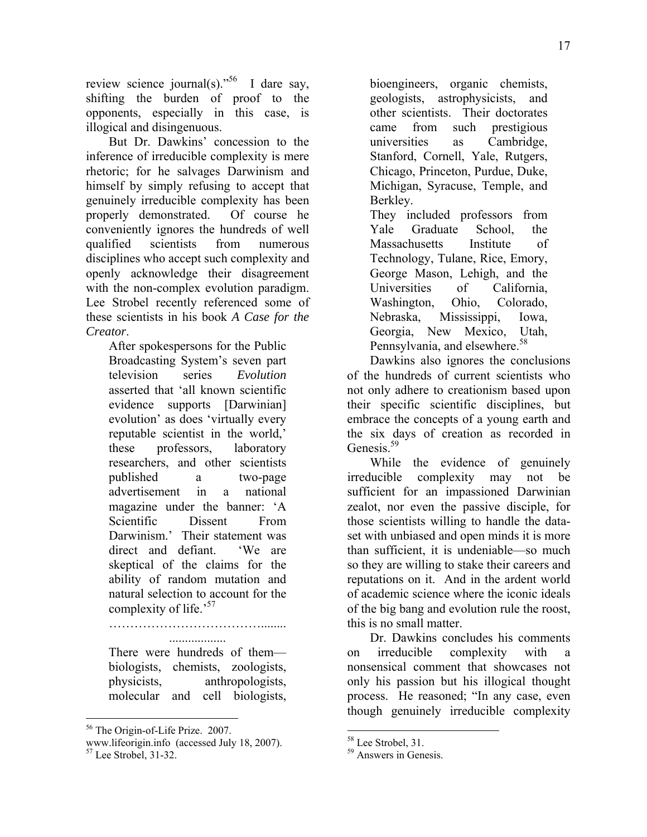review science journal(s)."<sup>56</sup> I dare say, shifting the burden of proof to the opponents, especially in this case, is illogical and disingenuous.

But Dr. Dawkins' concession to the inference of irreducible complexity is mere rhetoric; for he salvages Darwinism and himself by simply refusing to accept that genuinely irreducible complexity has been properly demonstrated. Of course he conveniently ignores the hundreds of well qualified scientists from numerous disciplines who accept such complexity and openly acknowledge their disagreement with the non-complex evolution paradigm. Lee Strobel recently referenced some of these scientists in his book *A Case for the Creator*.

After spokespersons for the Public Broadcasting System's seven part television series *Evolution* asserted that 'all known scientific evidence supports [Darwinian] evolution' as does 'virtually every reputable scientist in the world,' these professors, laboratory researchers, and other scientists published a two-page advertisement in a national magazine under the banner: 'A Scientific Dissent From Darwinism.' Their statement was direct and defiant. 'We are skeptical of the claims for the ability of random mutation and natural selection to account for the complexity of life.<sup>57</sup>

………………………………........ ..................

There were hundreds of them biologists, chemists, zoologists, physicists, anthropologists, molecular and cell biologists,

bioengineers, organic chemists, geologists, astrophysicists, and other scientists. Their doctorates came from such prestigious universities as Cambridge, Stanford, Cornell, Yale, Rutgers, Chicago, Princeton, Purdue, Duke, Michigan, Syracuse, Temple, and Berkley.

They included professors from Yale Graduate School, the Massachusetts Institute of Technology, Tulane, Rice, Emory, George Mason, Lehigh, and the Universities of California, Washington, Ohio, Colorado, Nebraska, Mississippi, Iowa, Georgia, New Mexico, Utah, Pennsylvania, and elsewhere.<sup>58</sup>

Dawkins also ignores the conclusions of the hundreds of current scientists who not only adhere to creationism based upon their specific scientific disciplines, but embrace the concepts of a young earth and the six days of creation as recorded in Genesis.<sup>59</sup>

While the evidence of genuinely irreducible complexity may not be sufficient for an impassioned Darwinian zealot, nor even the passive disciple, for those scientists willing to handle the dataset with unbiased and open minds it is more than sufficient, it is undeniable—so much so they are willing to stake their careers and reputations on it. And in the ardent world of academic science where the iconic ideals of the big bang and evolution rule the roost, this is no small matter.

Dr. Dawkins concludes his comments on irreducible complexity with a nonsensical comment that showcases not only his passion but his illogical thought process. He reasoned; "In any case, even though genuinely irreducible complexity

<sup>1</sup> 56 The Origin-of-Life Prize. 2007.

www.lifeorigin.info (accessed July 18, 2007). 57 Lee Strobel, 31-32.

<sup>&</sup>lt;sup>58</sup> Lee Strobel, 31.

<sup>59</sup> Answers in Genesis.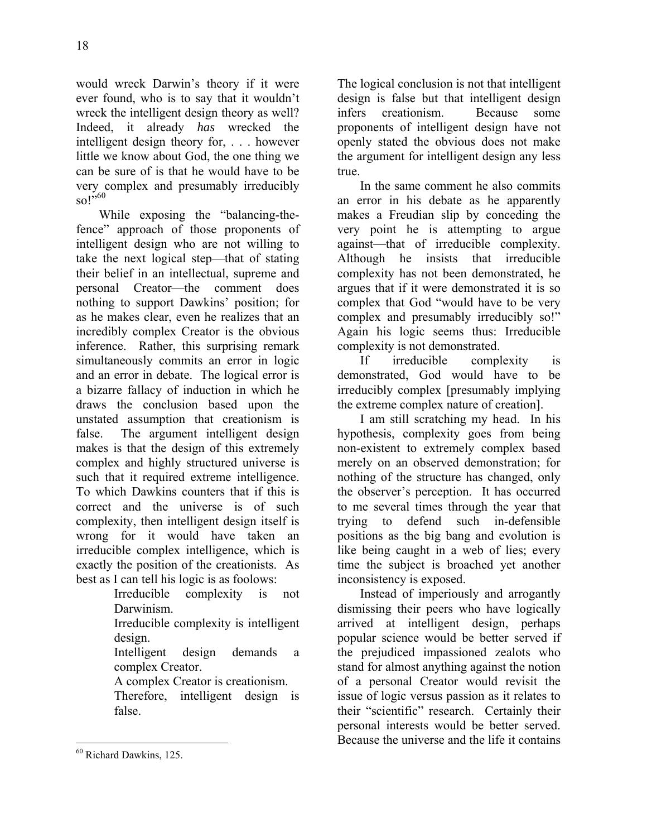would wreck Darwin's theory if it were ever found, who is to say that it wouldn't wreck the intelligent design theory as well? Indeed, it already *has* wrecked the intelligent design theory for, . . . however little we know about God, the one thing we can be sure of is that he would have to be very complex and presumably irreducibly  $\mathrm{so}$  !  $^{,60}$ 

While exposing the "balancing-thefence" approach of those proponents of intelligent design who are not willing to take the next logical step—that of stating their belief in an intellectual, supreme and personal Creator—the comment does nothing to support Dawkins' position; for as he makes clear, even he realizes that an incredibly complex Creator is the obvious inference. Rather, this surprising remark simultaneously commits an error in logic and an error in debate. The logical error is a bizarre fallacy of induction in which he draws the conclusion based upon the unstated assumption that creationism is false. The argument intelligent design makes is that the design of this extremely complex and highly structured universe is such that it required extreme intelligence. To which Dawkins counters that if this is correct and the universe is of such complexity, then intelligent design itself is wrong for it would have taken an irreducible complex intelligence, which is exactly the position of the creationists. As best as I can tell his logic is as foolows:

Irreducible complexity is not Darwinism.

Irreducible complexity is intelligent design.

Intelligent design demands a complex Creator.

A complex Creator is creationism.

Therefore, intelligent design is false.

 $\overline{a}$ 60 Richard Dawkins, 125. The logical conclusion is not that intelligent design is false but that intelligent design infers creationism. Because some proponents of intelligent design have not openly stated the obvious does not make the argument for intelligent design any less true.

In the same comment he also commits an error in his debate as he apparently makes a Freudian slip by conceding the very point he is attempting to argue against—that of irreducible complexity. Although he insists that irreducible complexity has not been demonstrated, he argues that if it were demonstrated it is so complex that God "would have to be very complex and presumably irreducibly so!" Again his logic seems thus: Irreducible complexity is not demonstrated.

If irreducible complexity is demonstrated, God would have to be irreducibly complex [presumably implying the extreme complex nature of creation].

I am still scratching my head. In his hypothesis, complexity goes from being non-existent to extremely complex based merely on an observed demonstration; for nothing of the structure has changed, only the observer's perception. It has occurred to me several times through the year that trying to defend such in-defensible positions as the big bang and evolution is like being caught in a web of lies; every time the subject is broached yet another inconsistency is exposed.

Instead of imperiously and arrogantly dismissing their peers who have logically arrived at intelligent design, perhaps popular science would be better served if the prejudiced impassioned zealots who stand for almost anything against the notion of a personal Creator would revisit the issue of logic versus passion as it relates to their "scientific" research. Certainly their personal interests would be better served. Because the universe and the life it contains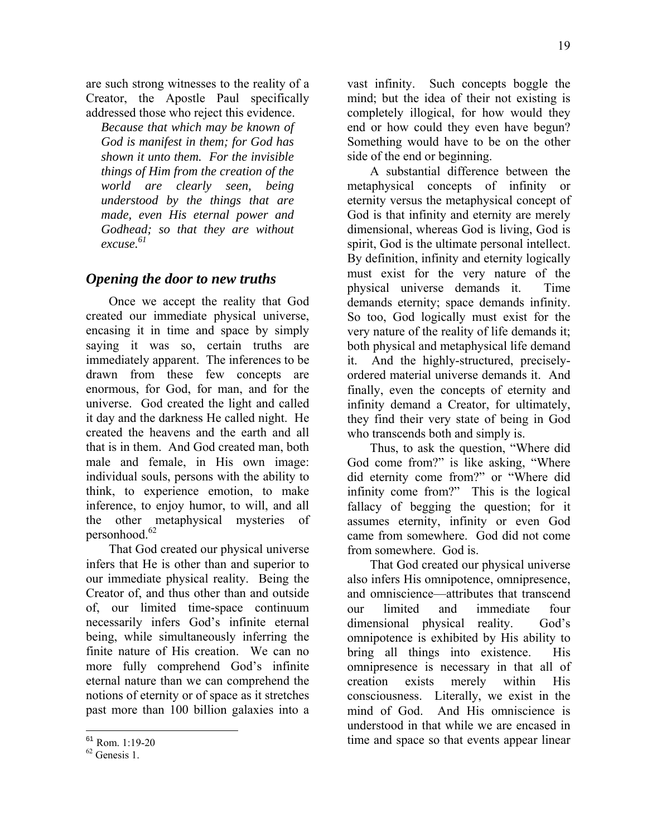are such strong witnesses to the reality of a Creator, the Apostle Paul specifically addressed those who reject this evidence.

*Because that which may be known of God is manifest in them; for God has shown it unto them. For the invisible things of Him from the creation of the world are clearly seen, being understood by the things that are made, even His eternal power and Godhead; so that they are without excuse. 61* 

### *Opening the door to new truths*

Once we accept the reality that God created our immediate physical universe, encasing it in time and space by simply saying it was so, certain truths are immediately apparent. The inferences to be drawn from these few concepts are enormous, for God, for man, and for the universe. God created the light and called it day and the darkness He called night. He created the heavens and the earth and all that is in them. And God created man, both male and female, in His own image: individual souls, persons with the ability to think, to experience emotion, to make inference, to enjoy humor, to will, and all the other metaphysical mysteries of personhood.<sup>62</sup>

That God created our physical universe infers that He is other than and superior to our immediate physical reality. Being the Creator of, and thus other than and outside of, our limited time-space continuum necessarily infers God's infinite eternal being, while simultaneously inferring the finite nature of His creation. We can no more fully comprehend God's infinite eternal nature than we can comprehend the notions of eternity or of space as it stretches past more than 100 billion galaxies into a

1

vast infinity. Such concepts boggle the mind; but the idea of their not existing is completely illogical, for how would they end or how could they even have begun? Something would have to be on the other side of the end or beginning.

A substantial difference between the metaphysical concepts of infinity or eternity versus the metaphysical concept of God is that infinity and eternity are merely dimensional, whereas God is living, God is spirit, God is the ultimate personal intellect. By definition, infinity and eternity logically must exist for the very nature of the physical universe demands it. Time demands eternity; space demands infinity. So too, God logically must exist for the very nature of the reality of life demands it; both physical and metaphysical life demand it. And the highly-structured, preciselyordered material universe demands it. And finally, even the concepts of eternity and infinity demand a Creator, for ultimately, they find their very state of being in God who transcends both and simply is.

Thus, to ask the question, "Where did God come from?" is like asking, "Where did eternity come from?" or "Where did infinity come from?" This is the logical fallacy of begging the question; for it assumes eternity, infinity or even God came from somewhere. God did not come from somewhere. God is.

That God created our physical universe also infers His omnipotence, omnipresence, and omniscience—attributes that transcend our limited and immediate four dimensional physical reality. God's omnipotence is exhibited by His ability to bring all things into existence. His omnipresence is necessary in that all of creation exists merely within His consciousness. Literally, we exist in the mind of God. And His omniscience is understood in that while we are encased in time and space so that events appear linear

 $^{61}$  Rom. 1:19-20<br> $^{62}$  Genesis 1.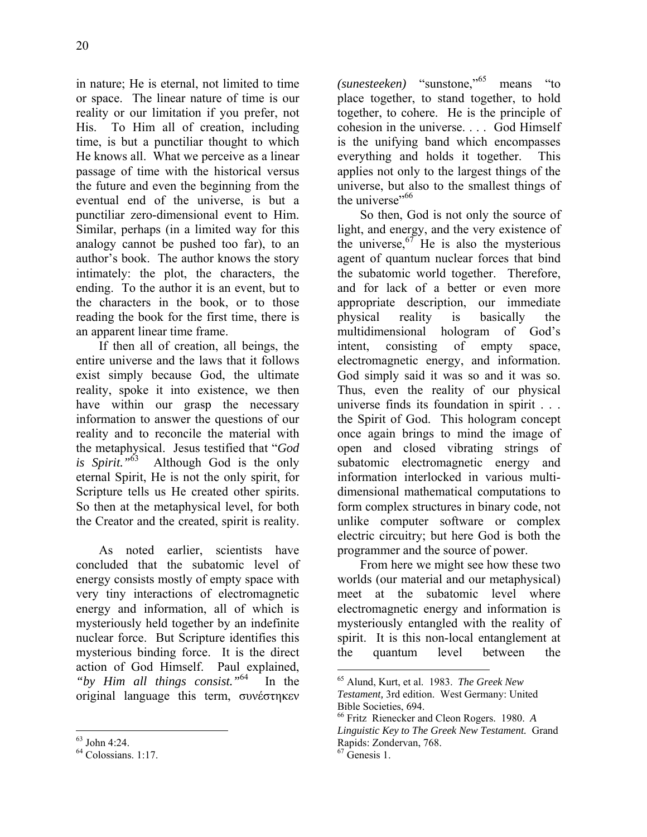in nature; He is eternal, not limited to time or space. The linear nature of time is our reality or our limitation if you prefer, not His. To Him all of creation, including time, is but a punctiliar thought to which He knows all. What we perceive as a linear passage of time with the historical versus the future and even the beginning from the eventual end of the universe, is but a punctiliar zero-dimensional event to Him. Similar, perhaps (in a limited way for this analogy cannot be pushed too far), to an author's book. The author knows the story intimately: the plot, the characters, the ending. To the author it is an event, but to the characters in the book, or to those reading the book for the first time, there is an apparent linear time frame.

If then all of creation, all beings, the entire universe and the laws that it follows exist simply because God, the ultimate reality, spoke it into existence, we then have within our grasp the necessary information to answer the questions of our reality and to reconcile the material with the metaphysical. Jesus testified that "*God is Spirit."*63 Although God is the only eternal Spirit, He is not the only spirit, for Scripture tells us He created other spirits. So then at the metaphysical level, for both the Creator and the created, spirit is reality.

As noted earlier, scientists have concluded that the subatomic level of energy consists mostly of empty space with very tiny interactions of electromagnetic energy and information, all of which is mysteriously held together by an indefinite nuclear force. But Scripture identifies this mysterious binding force. It is the direct action of God Himself. Paul explained, *"by Him all things consist."*64 In the original language this term, συνέστηκεν *(sunesteeken)* "sunstone,"65 means "to place together, to stand together, to hold together, to cohere. He is the principle of cohesion in the universe. . . . God Himself is the unifying band which encompasses everything and holds it together. This applies not only to the largest things of the universe, but also to the smallest things of the universe"<sup>66</sup>

So then, God is not only the source of light, and energy, and the very existence of the universe,  $67$  He is also the mysterious agent of quantum nuclear forces that bind the subatomic world together. Therefore, and for lack of a better or even more appropriate description, our immediate physical reality is basically the multidimensional hologram of God's intent, consisting of empty space, electromagnetic energy, and information. God simply said it was so and it was so. Thus, even the reality of our physical universe finds its foundation in spirit . . . the Spirit of God. This hologram concept once again brings to mind the image of open and closed vibrating strings of subatomic electromagnetic energy and information interlocked in various multidimensional mathematical computations to form complex structures in binary code, not unlike computer software or complex electric circuitry; but here God is both the programmer and the source of power.

From here we might see how these two worlds (our material and our metaphysical) meet at the subatomic level where electromagnetic energy and information is mysteriously entangled with the reality of spirit. It is this non-local entanglement at the quantum level between the

 $\overline{a}$ 63 John 4:24.

<sup>64</sup> Colossians. 1:17.

<sup>65</sup> Alund, Kurt, et al. 1983. *The Greek New Testament,* 3rd edition. West Germany: United Bible Societies, 694.

<sup>66</sup> Fritz Rienecker and Cleon Rogers. 1980. *A Linguistic Key to The Greek New Testament.* Grand Rapids: Zondervan, 768.

 $67$  Genesis 1.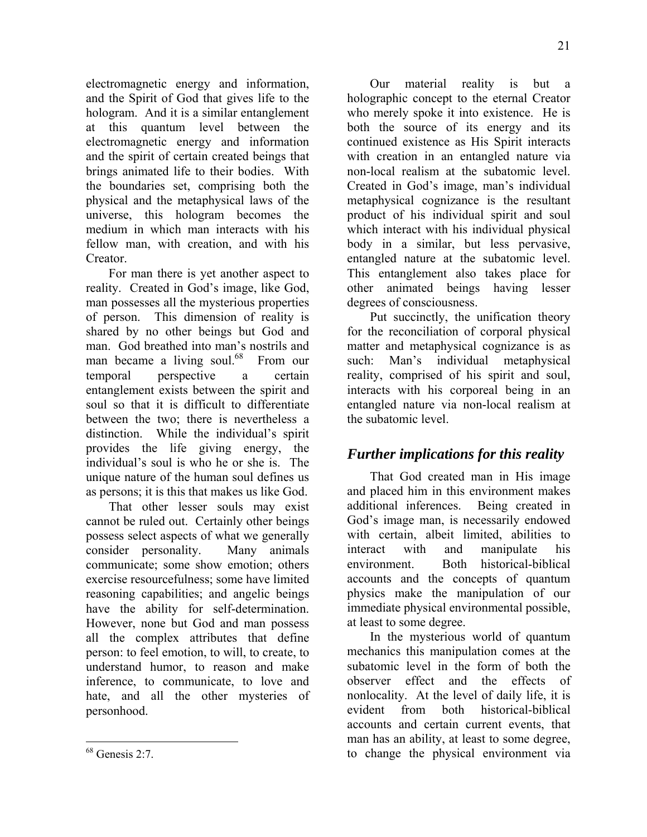electromagnetic energy and information, and the Spirit of God that gives life to the hologram. And it is a similar entanglement at this quantum level between the electromagnetic energy and information and the spirit of certain created beings that brings animated life to their bodies. With the boundaries set, comprising both the physical and the metaphysical laws of the universe, this hologram becomes the medium in which man interacts with his fellow man, with creation, and with his Creator.

For man there is yet another aspect to reality. Created in God's image, like God, man possesses all the mysterious properties of person. This dimension of reality is shared by no other beings but God and man. God breathed into man's nostrils and man became a living soul.<sup>68</sup> From our temporal perspective a certain entanglement exists between the spirit and soul so that it is difficult to differentiate between the two; there is nevertheless a distinction. While the individual's spirit provides the life giving energy, the individual's soul is who he or she is. The unique nature of the human soul defines us as persons; it is this that makes us like God.

That other lesser souls may exist cannot be ruled out. Certainly other beings possess select aspects of what we generally consider personality. Many animals communicate; some show emotion; others exercise resourcefulness; some have limited reasoning capabilities; and angelic beings have the ability for self-determination. However, none but God and man possess all the complex attributes that define person: to feel emotion, to will, to create, to understand humor, to reason and make inference, to communicate, to love and hate, and all the other mysteries of personhood.

<u>.</u>

Our material reality is but a holographic concept to the eternal Creator who merely spoke it into existence. He is both the source of its energy and its continued existence as His Spirit interacts with creation in an entangled nature via non-local realism at the subatomic level. Created in God's image, man's individual metaphysical cognizance is the resultant product of his individual spirit and soul which interact with his individual physical body in a similar, but less pervasive, entangled nature at the subatomic level. This entanglement also takes place for other animated beings having lesser degrees of consciousness.

Put succinctly, the unification theory for the reconciliation of corporal physical matter and metaphysical cognizance is as such: Man's individual metaphysical reality, comprised of his spirit and soul, interacts with his corporeal being in an entangled nature via non-local realism at the subatomic level.

# *Further implications for this reality*

That God created man in His image and placed him in this environment makes additional inferences. Being created in God's image man, is necessarily endowed with certain, albeit limited, abilities to interact with and manipulate his environment. Both historical-biblical accounts and the concepts of quantum physics make the manipulation of our immediate physical environmental possible, at least to some degree.

In the mysterious world of quantum mechanics this manipulation comes at the subatomic level in the form of both the observer effect and the effects of nonlocality. At the level of daily life, it is evident from both historical-biblical accounts and certain current events, that man has an ability, at least to some degree, to change the physical environment via

 $68$  Genesis 2:7.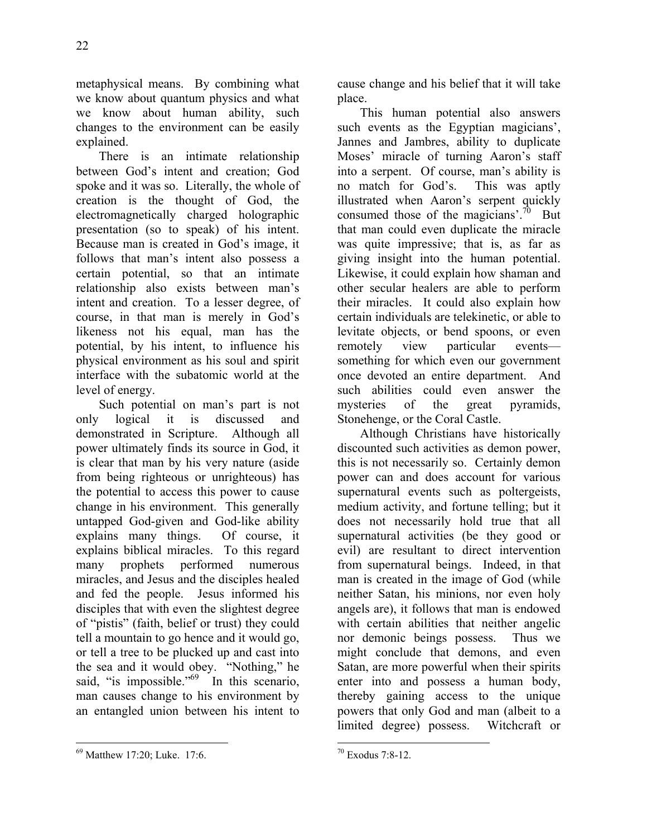metaphysical means. By combining what we know about quantum physics and what we know about human ability, such changes to the environment can be easily explained.

There is an intimate relationship between God's intent and creation; God spoke and it was so. Literally, the whole of creation is the thought of God, the electromagnetically charged holographic presentation (so to speak) of his intent. Because man is created in God's image, it follows that man's intent also possess a certain potential, so that an intimate relationship also exists between man's intent and creation. To a lesser degree, of course, in that man is merely in God's likeness not his equal, man has the potential, by his intent, to influence his physical environment as his soul and spirit interface with the subatomic world at the level of energy.

Such potential on man's part is not only logical it is discussed and demonstrated in Scripture. Although all power ultimately finds its source in God, it is clear that man by his very nature (aside from being righteous or unrighteous) has the potential to access this power to cause change in his environment. This generally untapped God-given and God-like ability explains many things. Of course, it explains biblical miracles. To this regard many prophets performed numerous miracles, and Jesus and the disciples healed and fed the people. Jesus informed his disciples that with even the slightest degree of "pistis" (faith, belief or trust) they could tell a mountain to go hence and it would go, or tell a tree to be plucked up and cast into the sea and it would obey. "Nothing," he said, "is impossible." $^{69}$  In this scenario, man causes change to his environment by an entangled union between his intent to

<u>.</u> 69 Matthew 17:20; Luke. 17:6. cause change and his belief that it will take place.

This human potential also answers such events as the Egyptian magicians', Jannes and Jambres, ability to duplicate Moses' miracle of turning Aaron's staff into a serpent. Of course, man's ability is no match for God's. This was aptly illustrated when Aaron's serpent quickly consumed those of the magicians'.<sup>70</sup> But that man could even duplicate the miracle was quite impressive; that is, as far as giving insight into the human potential. Likewise, it could explain how shaman and other secular healers are able to perform their miracles. It could also explain how certain individuals are telekinetic, or able to levitate objects, or bend spoons, or even remotely view particular events something for which even our government once devoted an entire department. And such abilities could even answer the mysteries of the great pyramids, Stonehenge, or the Coral Castle.

Although Christians have historically discounted such activities as demon power, this is not necessarily so. Certainly demon power can and does account for various supernatural events such as poltergeists, medium activity, and fortune telling; but it does not necessarily hold true that all supernatural activities (be they good or evil) are resultant to direct intervention from supernatural beings. Indeed, in that man is created in the image of God (while neither Satan, his minions, nor even holy angels are), it follows that man is endowed with certain abilities that neither angelic nor demonic beings possess. Thus we might conclude that demons, and even Satan, are more powerful when their spirits enter into and possess a human body, thereby gaining access to the unique powers that only God and man (albeit to a limited degree) possess. Witchcraft or

 $\overline{a}$ 70 Exodus 7:8-12.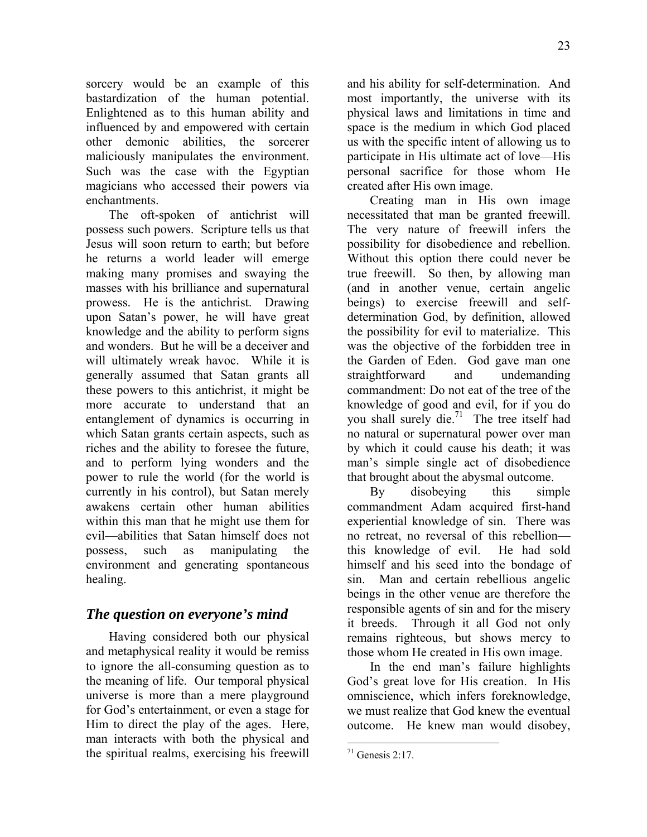sorcery would be an example of this bastardization of the human potential. Enlightened as to this human ability and influenced by and empowered with certain other demonic abilities, the sorcerer maliciously manipulates the environment. Such was the case with the Egyptian magicians who accessed their powers via enchantments.

The oft-spoken of antichrist will possess such powers. Scripture tells us that Jesus will soon return to earth; but before he returns a world leader will emerge making many promises and swaying the masses with his brilliance and supernatural prowess. He is the antichrist. Drawing upon Satan's power, he will have great knowledge and the ability to perform signs and wonders. But he will be a deceiver and will ultimately wreak havoc. While it is generally assumed that Satan grants all these powers to this antichrist, it might be more accurate to understand that an entanglement of dynamics is occurring in which Satan grants certain aspects, such as riches and the ability to foresee the future, and to perform lying wonders and the power to rule the world (for the world is currently in his control), but Satan merely awakens certain other human abilities within this man that he might use them for evil—abilities that Satan himself does not possess, such as manipulating the environment and generating spontaneous healing.

## *The question on everyone's mind*

Having considered both our physical and metaphysical reality it would be remiss to ignore the all-consuming question as to the meaning of life. Our temporal physical universe is more than a mere playground for God's entertainment, or even a stage for Him to direct the play of the ages. Here, man interacts with both the physical and the spiritual realms, exercising his freewill and his ability for self-determination. And most importantly, the universe with its physical laws and limitations in time and space is the medium in which God placed us with the specific intent of allowing us to participate in His ultimate act of love—His personal sacrifice for those whom He created after His own image.

Creating man in His own image necessitated that man be granted freewill. The very nature of freewill infers the possibility for disobedience and rebellion. Without this option there could never be true freewill. So then, by allowing man (and in another venue, certain angelic beings) to exercise freewill and selfdetermination God, by definition, allowed the possibility for evil to materialize. This was the objective of the forbidden tree in the Garden of Eden. God gave man one straightforward and undemanding commandment: Do not eat of the tree of the knowledge of good and evil, for if you do you shall surely die.<sup>71</sup> The tree itself had no natural or supernatural power over man by which it could cause his death; it was man's simple single act of disobedience that brought about the abysmal outcome.

By disobeying this simple commandment Adam acquired first-hand experiential knowledge of sin. There was no retreat, no reversal of this rebellion this knowledge of evil. He had sold himself and his seed into the bondage of sin. Man and certain rebellious angelic beings in the other venue are therefore the responsible agents of sin and for the misery it breeds. Through it all God not only remains righteous, but shows mercy to those whom He created in His own image.

In the end man's failure highlights God's great love for His creation. In His omniscience, which infers foreknowledge, we must realize that God knew the eventual outcome. He knew man would disobey,

 $71$  Genesis 2:17.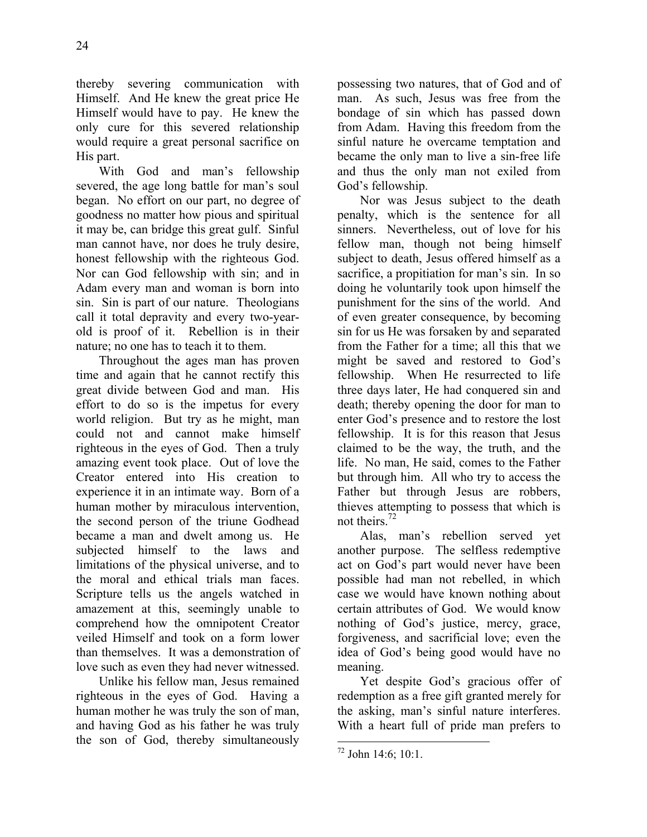thereby severing communication with Himself. And He knew the great price He Himself would have to pay. He knew the only cure for this severed relationship would require a great personal sacrifice on His part.

With God and man's fellowship severed, the age long battle for man's soul began. No effort on our part, no degree of goodness no matter how pious and spiritual it may be, can bridge this great gulf. Sinful man cannot have, nor does he truly desire, honest fellowship with the righteous God. Nor can God fellowship with sin; and in Adam every man and woman is born into sin. Sin is part of our nature. Theologians call it total depravity and every two-yearold is proof of it. Rebellion is in their nature; no one has to teach it to them.

Throughout the ages man has proven time and again that he cannot rectify this great divide between God and man. His effort to do so is the impetus for every world religion. But try as he might, man could not and cannot make himself righteous in the eyes of God. Then a truly amazing event took place. Out of love the Creator entered into His creation to experience it in an intimate way. Born of a human mother by miraculous intervention, the second person of the triune Godhead became a man and dwelt among us. He subjected himself to the laws and limitations of the physical universe, and to the moral and ethical trials man faces. Scripture tells us the angels watched in amazement at this, seemingly unable to comprehend how the omnipotent Creator veiled Himself and took on a form lower than themselves. It was a demonstration of love such as even they had never witnessed.

Unlike his fellow man, Jesus remained righteous in the eyes of God. Having a human mother he was truly the son of man, and having God as his father he was truly the son of God, thereby simultaneously possessing two natures, that of God and of man. As such, Jesus was free from the bondage of sin which has passed down from Adam. Having this freedom from the sinful nature he overcame temptation and became the only man to live a sin-free life and thus the only man not exiled from God's fellowship.

Nor was Jesus subject to the death penalty, which is the sentence for all sinners. Nevertheless, out of love for his fellow man, though not being himself subject to death, Jesus offered himself as a sacrifice, a propitiation for man's sin. In so doing he voluntarily took upon himself the punishment for the sins of the world. And of even greater consequence, by becoming sin for us He was forsaken by and separated from the Father for a time; all this that we might be saved and restored to God's fellowship. When He resurrected to life three days later, He had conquered sin and death; thereby opening the door for man to enter God's presence and to restore the lost fellowship. It is for this reason that Jesus claimed to be the way, the truth, and the life. No man, He said, comes to the Father but through him. All who try to access the Father but through Jesus are robbers, thieves attempting to possess that which is not theirs.72

Alas, man's rebellion served yet another purpose. The selfless redemptive act on God's part would never have been possible had man not rebelled, in which case we would have known nothing about certain attributes of God. We would know nothing of God's justice, mercy, grace, forgiveness, and sacrificial love; even the idea of God's being good would have no meaning.

Yet despite God's gracious offer of redemption as a free gift granted merely for the asking, man's sinful nature interferes. With a heart full of pride man prefers to

 $72$  John 14:6; 10:1.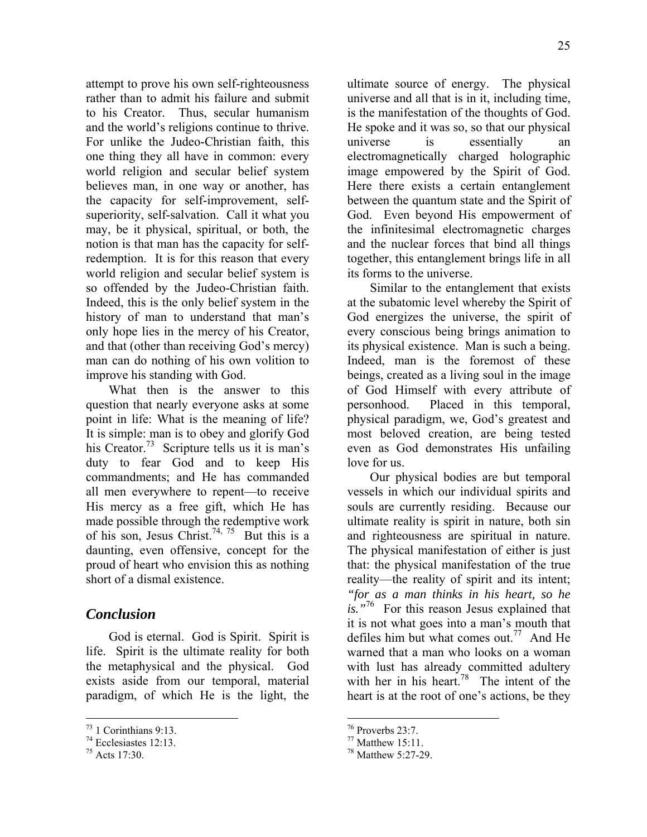attempt to prove his own self-righteousness rather than to admit his failure and submit to his Creator. Thus, secular humanism and the world's religions continue to thrive. For unlike the Judeo-Christian faith, this one thing they all have in common: every world religion and secular belief system believes man, in one way or another, has the capacity for self-improvement, selfsuperiority, self-salvation. Call it what you may, be it physical, spiritual, or both, the notion is that man has the capacity for selfredemption. It is for this reason that every world religion and secular belief system is so offended by the Judeo-Christian faith. Indeed, this is the only belief system in the history of man to understand that man's only hope lies in the mercy of his Creator, and that (other than receiving God's mercy) man can do nothing of his own volition to improve his standing with God.

What then is the answer to this question that nearly everyone asks at some point in life: What is the meaning of life? It is simple: man is to obey and glorify God his Creator.<sup>73</sup> Scripture tells us it is man's duty to fear God and to keep His commandments; and He has commanded all men everywhere to repent—to receive His mercy as a free gift, which He has made possible through the redemptive work of his son, Jesus Christ.<sup>74, 75</sup> But this is a daunting, even offensive, concept for the proud of heart who envision this as nothing short of a dismal existence.

## *Conclusion*

God is eternal. God is Spirit. Spirit is life. Spirit is the ultimate reality for both the metaphysical and the physical. God exists aside from our temporal, material paradigm, of which He is the light, the

1

ultimate source of energy. The physical universe and all that is in it, including time, is the manifestation of the thoughts of God. He spoke and it was so, so that our physical universe is essentially an electromagnetically charged holographic image empowered by the Spirit of God. Here there exists a certain entanglement between the quantum state and the Spirit of God. Even beyond His empowerment of the infinitesimal electromagnetic charges and the nuclear forces that bind all things together, this entanglement brings life in all its forms to the universe.

Similar to the entanglement that exists at the subatomic level whereby the Spirit of God energizes the universe, the spirit of every conscious being brings animation to its physical existence. Man is such a being. Indeed, man is the foremost of these beings, created as a living soul in the image of God Himself with every attribute of personhood. Placed in this temporal, physical paradigm, we, God's greatest and most beloved creation, are being tested even as God demonstrates His unfailing love for us.

Our physical bodies are but temporal vessels in which our individual spirits and souls are currently residing. Because our ultimate reality is spirit in nature, both sin and righteousness are spiritual in nature. The physical manifestation of either is just that: the physical manifestation of the true reality—the reality of spirit and its intent; *"for as a man thinks in his heart, so he is."*76 For this reason Jesus explained that it is not what goes into a man's mouth that defiles him but what comes out.<sup>77</sup> And He warned that a man who looks on a woman with lust has already committed adultery with her in his heart.<sup>78</sup> The intent of the heart is at the root of one's actions, be they

 $73$  1 Corinthians 9:13.

<sup>74</sup> Ecclesiastes 12:13.

<sup>75</sup> Acts 17:30.

 $76$  Proverbs 23:7.

 $77$  Matthew 15:11.

<sup>78</sup> Matthew 5:27-29.